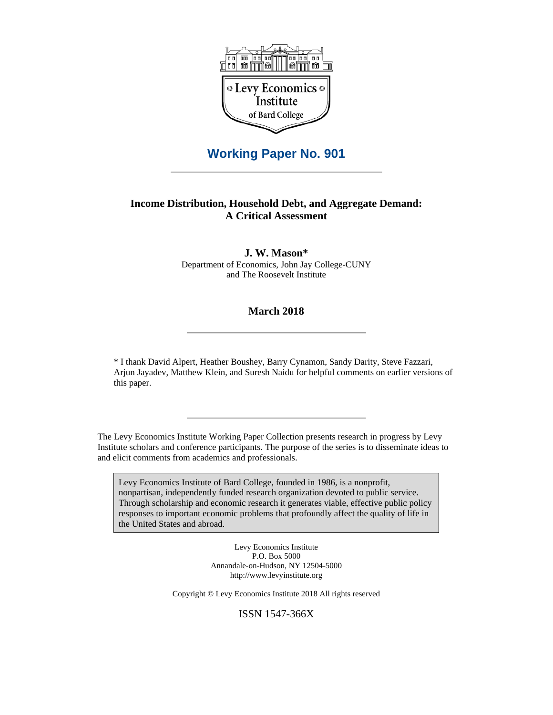

## **Working Paper No. 901**

### **Income Distribution, Household Debt, and Aggregate Demand: A Critical Assessment**

**J. W. Mason\***  Department of Economics, John Jay College-CUNY and The Roosevelt Institute

#### **March 2018**

\* I thank David Alpert, Heather Boushey, Barry Cynamon, Sandy Darity, Steve Fazzari, Arjun Jayadev, Matthew Klein, and Suresh Naidu for helpful comments on earlier versions of this paper.

The Levy Economics Institute Working Paper Collection presents research in progress by Levy Institute scholars and conference participants. The purpose of the series is to disseminate ideas to and elicit comments from academics and professionals.

Levy Economics Institute of Bard College, founded in 1986, is a nonprofit, nonpartisan, independently funded research organization devoted to public service. Through scholarship and economic research it generates viable, effective public policy responses to important economic problems that profoundly affect the quality of life in the United States and abroad.

> Levy Economics Institute P.O. Box 5000 Annandale-on-Hudson, NY 12504-5000 http://www.levyinstitute.org

Copyright © Levy Economics Institute 2018 All rights reserved

ISSN 1547-366X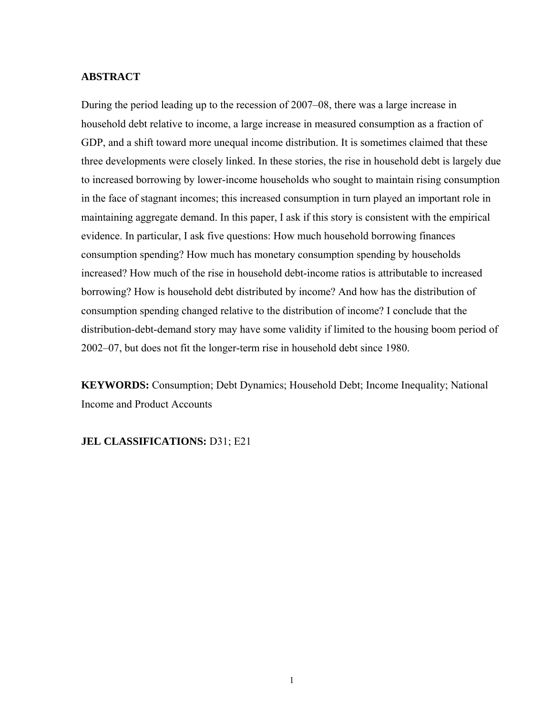### **ABSTRACT**

During the period leading up to the recession of 2007–08, there was a large increase in household debt relative to income, a large increase in measured consumption as a fraction of GDP, and a shift toward more unequal income distribution. It is sometimes claimed that these three developments were closely linked. In these stories, the rise in household debt is largely due to increased borrowing by lower-income households who sought to maintain rising consumption in the face of stagnant incomes; this increased consumption in turn played an important role in maintaining aggregate demand. In this paper, I ask if this story is consistent with the empirical evidence. In particular, I ask five questions: How much household borrowing finances consumption spending? How much has monetary consumption spending by households increased? How much of the rise in household debt-income ratios is attributable to increased borrowing? How is household debt distributed by income? And how has the distribution of consumption spending changed relative to the distribution of income? I conclude that the distribution-debt-demand story may have some validity if limited to the housing boom period of 2002–07, but does not fit the longer-term rise in household debt since 1980.

**KEYWORDS:** Consumption; Debt Dynamics; Household Debt; Income Inequality; National Income and Product Accounts

### **JEL CLASSIFICATIONS:** D31; E21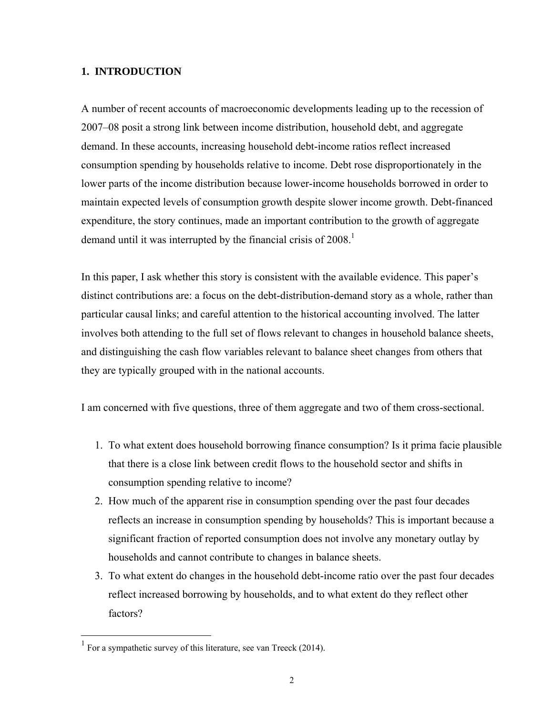## **1. INTRODUCTION**

A number of recent accounts of macroeconomic developments leading up to the recession of 2007–08 posit a strong link between income distribution, household debt, and aggregate demand. In these accounts, increasing household debt-income ratios reflect increased consumption spending by households relative to income. Debt rose disproportionately in the lower parts of the income distribution because lower-income households borrowed in order to maintain expected levels of consumption growth despite slower income growth. Debt-financed expenditure, the story continues, made an important contribution to the growth of aggregate demand until it was interrupted by the financial crisis of 2008.<sup>1</sup>

In this paper, I ask whether this story is consistent with the available evidence. This paper's distinct contributions are: a focus on the debt-distribution-demand story as a whole, rather than particular causal links; and careful attention to the historical accounting involved. The latter involves both attending to the full set of flows relevant to changes in household balance sheets, and distinguishing the cash flow variables relevant to balance sheet changes from others that they are typically grouped with in the national accounts.

I am concerned with five questions, three of them aggregate and two of them cross-sectional.

- 1. To what extent does household borrowing finance consumption? Is it prima facie plausible that there is a close link between credit flows to the household sector and shifts in consumption spending relative to income?
- 2. How much of the apparent rise in consumption spending over the past four decades reflects an increase in consumption spending by households? This is important because a significant fraction of reported consumption does not involve any monetary outlay by households and cannot contribute to changes in balance sheets.
- 3. To what extent do changes in the household debt-income ratio over the past four decades reflect increased borrowing by households, and to what extent do they reflect other factors?

 $\overline{a}$ 

<sup>&</sup>lt;sup>1</sup> For a sympathetic survey of this literature, see van Treeck (2014).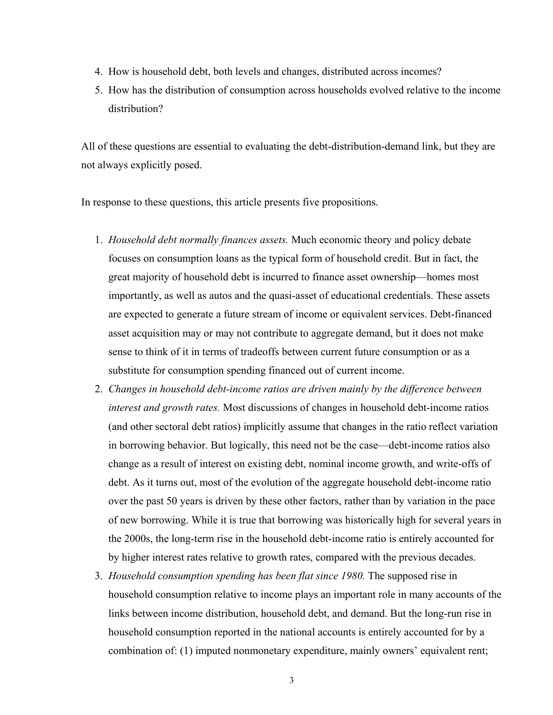- 4. How is household debt, both levels and changes, distributed across incomes?
- 5. How has the distribution of consumption across households evolved relative to the income distribution?

All of these questions are essential to evaluating the debt-distribution-demand link, but they are not always explicitly posed.

In response to these questions, this article presents five propositions.

- 1. *Household debt normally finances assets.* Much economic theory and policy debate focuses on consumption loans as the typical form of household credit. But in fact, the great majority of household debt is incurred to finance asset ownership—homes most importantly, as well as autos and the quasi-asset of educational credentials. These assets are expected to generate a future stream of income or equivalent services. Debt-financed asset acquisition may or may not contribute to aggregate demand, but it does not make sense to think of it in terms of tradeoffs between current future consumption or as a substitute for consumption spending financed out of current income.
- 2. *Changes in household debt-income ratios are driven mainly by the difference between interest and growth rates.* Most discussions of changes in household debt-income ratios (and other sectoral debt ratios) implicitly assume that changes in the ratio reflect variation in borrowing behavior. But logically, this need not be the case—debt-income ratios also change as a result of interest on existing debt, nominal income growth, and write-offs of debt. As it turns out, most of the evolution of the aggregate household debt-income ratio over the past 50 years is driven by these other factors, rather than by variation in the pace of new borrowing. While it is true that borrowing was historically high for several years in the 2000s, the long-term rise in the household debt-income ratio is entirely accounted for by higher interest rates relative to growth rates, compared with the previous decades.
- 3. *Household consumption spending has been flat since 1980.* The supposed rise in household consumption relative to income plays an important role in many accounts of the links between income distribution, household debt, and demand. But the long-run rise in household consumption reported in the national accounts is entirely accounted for by a combination of: (1) imputed nonmonetary expenditure, mainly owners' equivalent rent;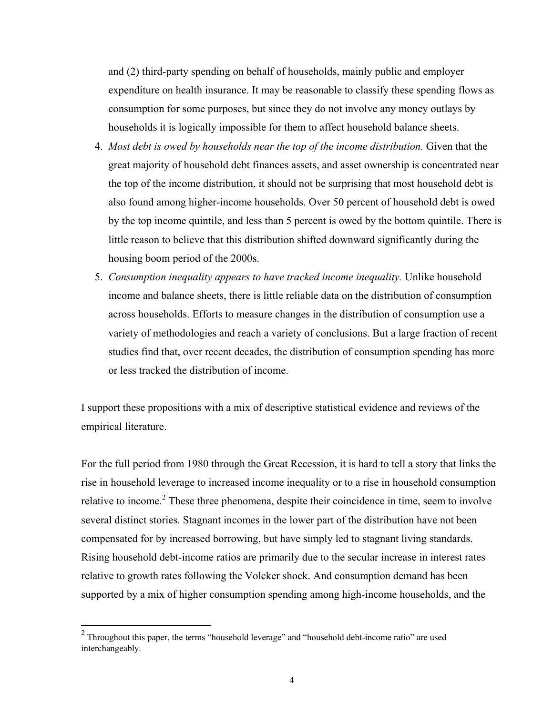and (2) third-party spending on behalf of households, mainly public and employer expenditure on health insurance. It may be reasonable to classify these spending flows as consumption for some purposes, but since they do not involve any money outlays by households it is logically impossible for them to affect household balance sheets.

- 4. *Most debt is owed by households near the top of the income distribution.* Given that the great majority of household debt finances assets, and asset ownership is concentrated near the top of the income distribution, it should not be surprising that most household debt is also found among higher-income households. Over 50 percent of household debt is owed by the top income quintile, and less than 5 percent is owed by the bottom quintile. There is little reason to believe that this distribution shifted downward significantly during the housing boom period of the 2000s.
- 5. *Consumption inequality appears to have tracked income inequality.* Unlike household income and balance sheets, there is little reliable data on the distribution of consumption across households. Efforts to measure changes in the distribution of consumption use a variety of methodologies and reach a variety of conclusions. But a large fraction of recent studies find that, over recent decades, the distribution of consumption spending has more or less tracked the distribution of income.

I support these propositions with a mix of descriptive statistical evidence and reviews of the empirical literature.

For the full period from 1980 through the Great Recession, it is hard to tell a story that links the rise in household leverage to increased income inequality or to a rise in household consumption relative to income.<sup>2</sup> These three phenomena, despite their coincidence in time, seem to involve several distinct stories. Stagnant incomes in the lower part of the distribution have not been compensated for by increased borrowing, but have simply led to stagnant living standards. Rising household debt-income ratios are primarily due to the secular increase in interest rates relative to growth rates following the Volcker shock. And consumption demand has been supported by a mix of higher consumption spending among high-income households, and the

<sup>&</sup>lt;sup>2</sup> Throughout this paper, the terms "household leverage" and "household debt-income ratio" are used interchangeably.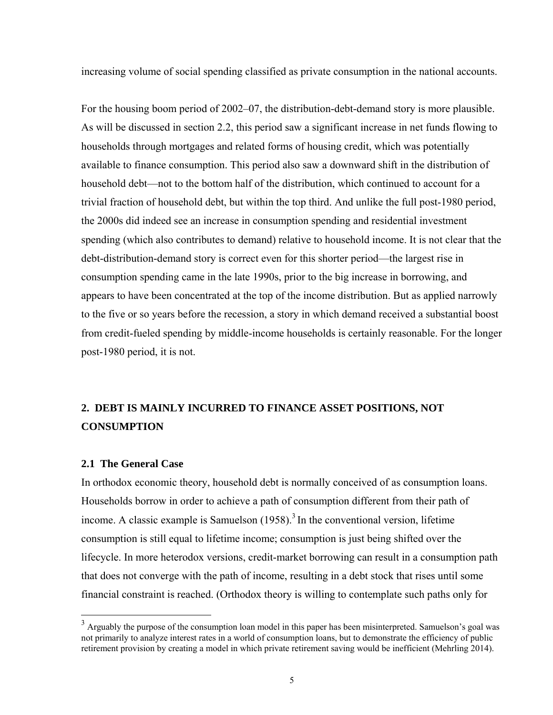increasing volume of social spending classified as private consumption in the national accounts.

For the housing boom period of 2002–07, the distribution-debt-demand story is more plausible. As will be discussed in section 2.2, this period saw a significant increase in net funds flowing to households through mortgages and related forms of housing credit, which was potentially available to finance consumption. This period also saw a downward shift in the distribution of household debt—not to the bottom half of the distribution, which continued to account for a trivial fraction of household debt, but within the top third. And unlike the full post-1980 period, the 2000s did indeed see an increase in consumption spending and residential investment spending (which also contributes to demand) relative to household income. It is not clear that the debt-distribution-demand story is correct even for this shorter period—the largest rise in consumption spending came in the late 1990s, prior to the big increase in borrowing, and appears to have been concentrated at the top of the income distribution. But as applied narrowly to the five or so years before the recession, a story in which demand received a substantial boost from credit-fueled spending by middle-income households is certainly reasonable. For the longer post-1980 period, it is not.

## **2. DEBT IS MAINLY INCURRED TO FINANCE ASSET POSITIONS, NOT CONSUMPTION**

## **2.1 The General Case**

 $\overline{a}$ 

In orthodox economic theory, household debt is normally conceived of as consumption loans. Households borrow in order to achieve a path of consumption different from their path of income. A classic example is Samuelson  $(1958)$ <sup>3</sup> In the conventional version, lifetime consumption is still equal to lifetime income; consumption is just being shifted over the lifecycle. In more heterodox versions, credit-market borrowing can result in a consumption path that does not converge with the path of income, resulting in a debt stock that rises until some financial constraint is reached. (Orthodox theory is willing to contemplate such paths only for

 $3$  Arguably the purpose of the consumption loan model in this paper has been misinterpreted. Samuelson's goal was not primarily to analyze interest rates in a world of consumption loans, but to demonstrate the efficiency of public retirement provision by creating a model in which private retirement saving would be inefficient (Mehrling 2014).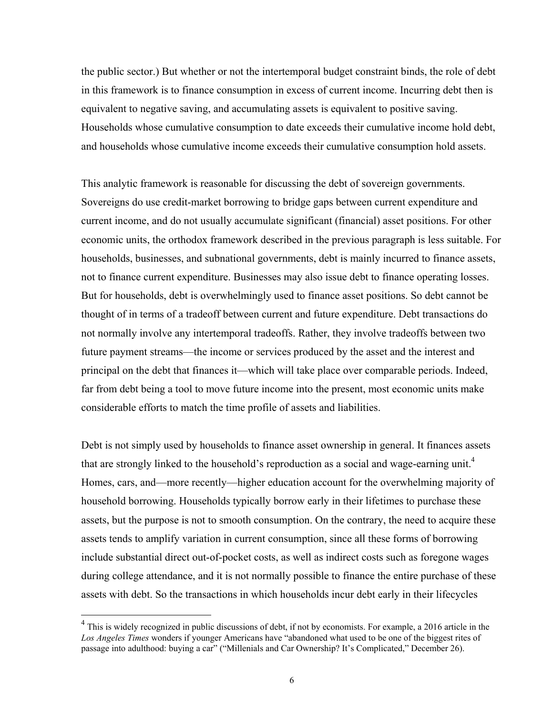the public sector.) But whether or not the intertemporal budget constraint binds, the role of debt in this framework is to finance consumption in excess of current income. Incurring debt then is equivalent to negative saving, and accumulating assets is equivalent to positive saving. Households whose cumulative consumption to date exceeds their cumulative income hold debt, and households whose cumulative income exceeds their cumulative consumption hold assets.

This analytic framework is reasonable for discussing the debt of sovereign governments. Sovereigns do use credit-market borrowing to bridge gaps between current expenditure and current income, and do not usually accumulate significant (financial) asset positions. For other economic units, the orthodox framework described in the previous paragraph is less suitable. For households, businesses, and subnational governments, debt is mainly incurred to finance assets, not to finance current expenditure. Businesses may also issue debt to finance operating losses. But for households, debt is overwhelmingly used to finance asset positions. So debt cannot be thought of in terms of a tradeoff between current and future expenditure. Debt transactions do not normally involve any intertemporal tradeoffs. Rather, they involve tradeoffs between two future payment streams—the income or services produced by the asset and the interest and principal on the debt that finances it—which will take place over comparable periods. Indeed, far from debt being a tool to move future income into the present, most economic units make considerable efforts to match the time profile of assets and liabilities.

Debt is not simply used by households to finance asset ownership in general. It finances assets that are strongly linked to the household's reproduction as a social and wage-earning unit.<sup>4</sup> Homes, cars, and—more recently—higher education account for the overwhelming majority of household borrowing. Households typically borrow early in their lifetimes to purchase these assets, but the purpose is not to smooth consumption. On the contrary, the need to acquire these assets tends to amplify variation in current consumption, since all these forms of borrowing include substantial direct out-of-pocket costs, as well as indirect costs such as foregone wages during college attendance, and it is not normally possible to finance the entire purchase of these assets with debt. So the transactions in which households incur debt early in their lifecycles

 $\overline{a}$ 

 $4$  This is widely recognized in public discussions of debt, if not by economists. For example, a 2016 article in the *Los Angeles Times* wonders if younger Americans have "abandoned what used to be one of the biggest rites of passage into adulthood: buying a car" ("Millenials and Car Ownership? It's Complicated," December 26).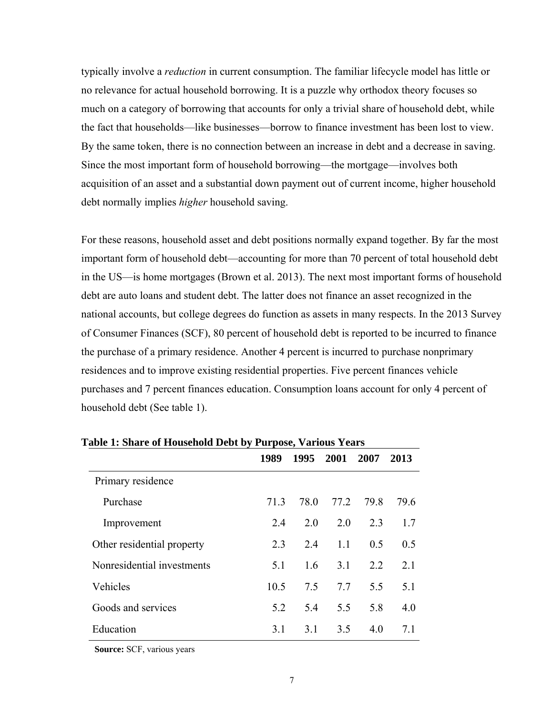typically involve a *reduction* in current consumption. The familiar lifecycle model has little or no relevance for actual household borrowing. It is a puzzle why orthodox theory focuses so much on a category of borrowing that accounts for only a trivial share of household debt, while the fact that households—like businesses—borrow to finance investment has been lost to view. By the same token, there is no connection between an increase in debt and a decrease in saving. Since the most important form of household borrowing—the mortgage—involves both acquisition of an asset and a substantial down payment out of current income, higher household debt normally implies *higher* household saving.

For these reasons, household asset and debt positions normally expand together. By far the most important form of household debt—accounting for more than 70 percent of total household debt in the US—is home mortgages (Brown et al. 2013). The next most important forms of household debt are auto loans and student debt. The latter does not finance an asset recognized in the national accounts, but college degrees do function as assets in many respects. In the 2013 Survey of Consumer Finances (SCF), 80 percent of household debt is reported to be incurred to finance the purchase of a primary residence. Another 4 percent is incurred to purchase nonprimary residences and to improve existing residential properties. Five percent finances vehicle purchases and 7 percent finances education. Consumption loans account for only 4 percent of household debt (See table 1).

|                            | 1989 | 1995 | 2001 | 2007 | 2013 |
|----------------------------|------|------|------|------|------|
| Primary residence          |      |      |      |      |      |
| Purchase                   | 71.3 | 78.0 | 77.2 | 79.8 | 79.6 |
| Improvement                | 2.4  | 2.0  | 2.0  | 2.3  | 1.7  |
| Other residential property | 23   | 2.4  | 1.1  | 0.5  | 0.5  |
| Nonresidential investments | 5.1  | 1.6  | 3.1  | 2.2  | 2.1  |
| Vehicles                   | 10.5 | 7.5  | 7.7  | 5.5  | 5.1  |
| Goods and services         | 5.2  | 5.4  | 5.5  | 5.8  | 4.0  |
| Education                  | 3.1  | 3.1  | 3.5  | 40   | 71   |

**Table 1: Share of Household Debt by Purpose, Various Years**

 **Source:** SCF, various years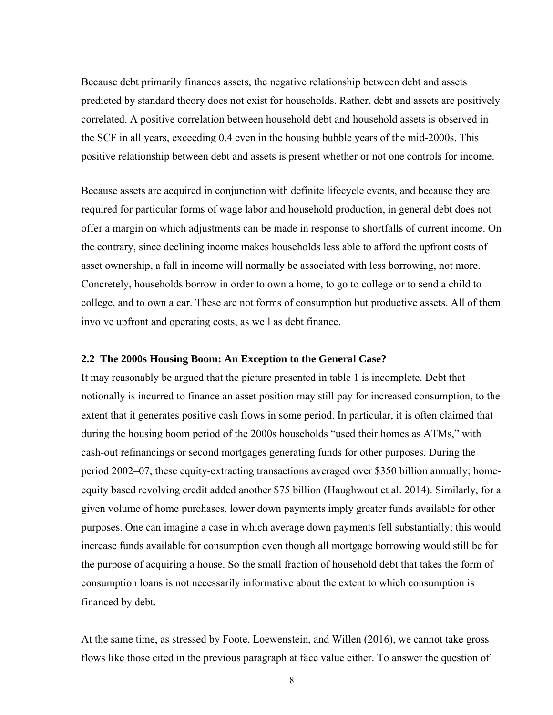Because debt primarily finances assets, the negative relationship between debt and assets predicted by standard theory does not exist for households. Rather, debt and assets are positively correlated. A positive correlation between household debt and household assets is observed in the SCF in all years, exceeding 0.4 even in the housing bubble years of the mid-2000s. This positive relationship between debt and assets is present whether or not one controls for income.

Because assets are acquired in conjunction with definite lifecycle events, and because they are required for particular forms of wage labor and household production, in general debt does not offer a margin on which adjustments can be made in response to shortfalls of current income. On the contrary, since declining income makes households less able to afford the upfront costs of asset ownership, a fall in income will normally be associated with less borrowing, not more. Concretely, households borrow in order to own a home, to go to college or to send a child to college, and to own a car. These are not forms of consumption but productive assets. All of them involve upfront and operating costs, as well as debt finance.

#### **2.2 The 2000s Housing Boom: An Exception to the General Case?**

It may reasonably be argued that the picture presented in table 1 is incomplete. Debt that notionally is incurred to finance an asset position may still pay for increased consumption, to the extent that it generates positive cash flows in some period. In particular, it is often claimed that during the housing boom period of the 2000s households "used their homes as ATMs," with cash-out refinancings or second mortgages generating funds for other purposes. During the period 2002–07, these equity-extracting transactions averaged over \$350 billion annually; homeequity based revolving credit added another \$75 billion (Haughwout et al. 2014). Similarly, for a given volume of home purchases, lower down payments imply greater funds available for other purposes. One can imagine a case in which average down payments fell substantially; this would increase funds available for consumption even though all mortgage borrowing would still be for the purpose of acquiring a house. So the small fraction of household debt that takes the form of consumption loans is not necessarily informative about the extent to which consumption is financed by debt.

At the same time, as stressed by Foote, Loewenstein, and Willen (2016), we cannot take gross flows like those cited in the previous paragraph at face value either. To answer the question of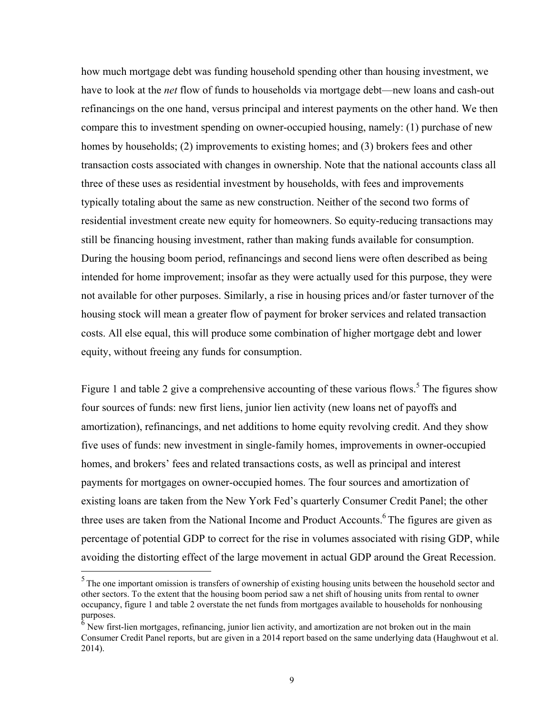how much mortgage debt was funding household spending other than housing investment, we have to look at the *net* flow of funds to households via mortgage debt—new loans and cash-out refinancings on the one hand, versus principal and interest payments on the other hand. We then compare this to investment spending on owner-occupied housing, namely: (1) purchase of new homes by households; (2) improvements to existing homes; and (3) brokers fees and other transaction costs associated with changes in ownership. Note that the national accounts class all three of these uses as residential investment by households, with fees and improvements typically totaling about the same as new construction. Neither of the second two forms of residential investment create new equity for homeowners. So equity-reducing transactions may still be financing housing investment, rather than making funds available for consumption. During the housing boom period, refinancings and second liens were often described as being intended for home improvement; insofar as they were actually used for this purpose, they were not available for other purposes. Similarly, a rise in housing prices and/or faster turnover of the housing stock will mean a greater flow of payment for broker services and related transaction costs. All else equal, this will produce some combination of higher mortgage debt and lower equity, without freeing any funds for consumption.

Figure 1 and table 2 give a comprehensive accounting of these various flows.<sup>5</sup> The figures show four sources of funds: new first liens, junior lien activity (new loans net of payoffs and amortization), refinancings, and net additions to home equity revolving credit. And they show five uses of funds: new investment in single-family homes, improvements in owner-occupied homes, and brokers' fees and related transactions costs, as well as principal and interest payments for mortgages on owner-occupied homes. The four sources and amortization of existing loans are taken from the New York Fed's quarterly Consumer Credit Panel; the other three uses are taken from the National Income and Product Accounts.<sup>6</sup> The figures are given as percentage of potential GDP to correct for the rise in volumes associated with rising GDP, while avoiding the distorting effect of the large movement in actual GDP around the Great Recession.

 $\overline{a}$ 

 $<sup>5</sup>$  The one important omission is transfers of ownership of existing housing units between the household sector and</sup> other sectors. To the extent that the housing boom period saw a net shift of housing units from rental to owner occupancy, figure 1 and table 2 overstate the net funds from mortgages available to households for nonhousing purposes.<br><sup>6</sup> New first-lien mortgages, refinancing, junior lien activity, and amortization are not broken out in the main

Consumer Credit Panel reports, but are given in a 2014 report based on the same underlying data (Haughwout et al. 2014).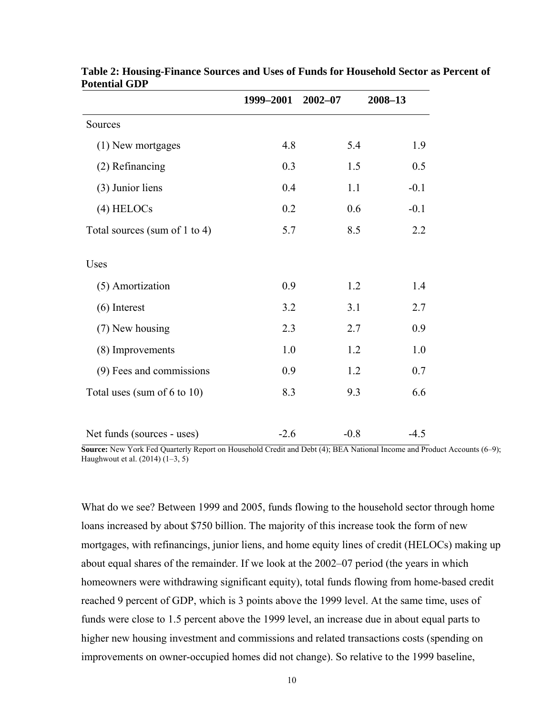|                               | 1999-2001 | $2002 - 07$ | 2008-13 |
|-------------------------------|-----------|-------------|---------|
| Sources                       |           |             |         |
| (1) New mortgages             | 4.8       | 5.4         | 1.9     |
| (2) Refinancing               | 0.3       | 1.5         | 0.5     |
| (3) Junior liens              | 0.4       | 1.1         | $-0.1$  |
| (4) HELOCs                    | 0.2       | 0.6         | $-0.1$  |
| Total sources (sum of 1 to 4) | 5.7       | 8.5         | 2.2     |
| Uses                          |           |             |         |
| (5) Amortization              | 0.9       | 1.2         | 1.4     |
| $(6)$ Interest                | 3.2       | 3.1         | 2.7     |
| (7) New housing               | 2.3       | 2.7         | 0.9     |
| (8) Improvements              | 1.0       | 1.2         | 1.0     |
| (9) Fees and commissions      | 0.9       | 1.2         | 0.7     |
| Total uses (sum of 6 to 10)   | 8.3       | 9.3         | 6.6     |
| Net funds (sources - uses)    | $-2.6$    | $-0.8$      | $-4.5$  |

**Table 2: Housing-Finance Sources and Uses of Funds for Household Sector as Percent of Potential GDP** 

**Source:** New York Fed Quarterly Report on Household Credit and Debt (4); BEA National Income and Product Accounts (6–9); Haughwout et al. (2014) (1–3, 5)

What do we see? Between 1999 and 2005, funds flowing to the household sector through home loans increased by about \$750 billion. The majority of this increase took the form of new mortgages, with refinancings, junior liens, and home equity lines of credit (HELOCs) making up about equal shares of the remainder. If we look at the 2002–07 period (the years in which homeowners were withdrawing significant equity), total funds flowing from home-based credit reached 9 percent of GDP, which is 3 points above the 1999 level. At the same time, uses of funds were close to 1.5 percent above the 1999 level, an increase due in about equal parts to higher new housing investment and commissions and related transactions costs (spending on improvements on owner-occupied homes did not change). So relative to the 1999 baseline,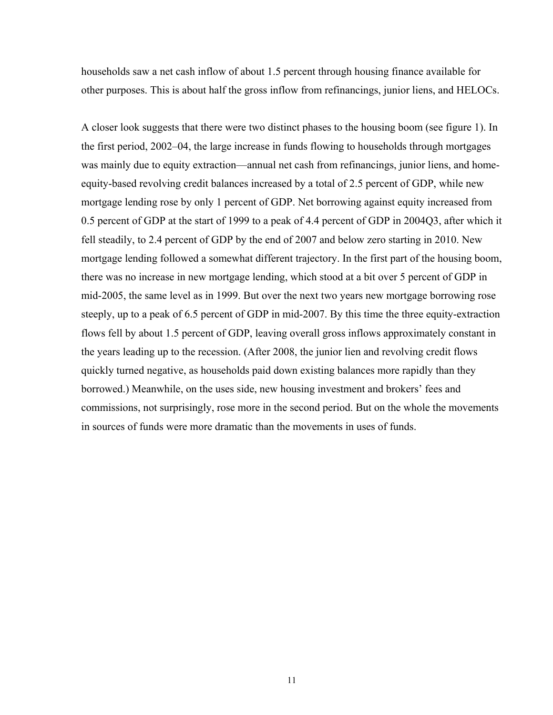households saw a net cash inflow of about 1.5 percent through housing finance available for other purposes. This is about half the gross inflow from refinancings, junior liens, and HELOCs.

A closer look suggests that there were two distinct phases to the housing boom (see figure 1). In the first period, 2002–04, the large increase in funds flowing to households through mortgages was mainly due to equity extraction—annual net cash from refinancings, junior liens, and homeequity-based revolving credit balances increased by a total of 2.5 percent of GDP, while new mortgage lending rose by only 1 percent of GDP. Net borrowing against equity increased from 0.5 percent of GDP at the start of 1999 to a peak of 4.4 percent of GDP in 2004Q3, after which it fell steadily, to 2.4 percent of GDP by the end of 2007 and below zero starting in 2010. New mortgage lending followed a somewhat different trajectory. In the first part of the housing boom, there was no increase in new mortgage lending, which stood at a bit over 5 percent of GDP in mid-2005, the same level as in 1999. But over the next two years new mortgage borrowing rose steeply, up to a peak of 6.5 percent of GDP in mid-2007. By this time the three equity-extraction flows fell by about 1.5 percent of GDP, leaving overall gross inflows approximately constant in the years leading up to the recession. (After 2008, the junior lien and revolving credit flows quickly turned negative, as households paid down existing balances more rapidly than they borrowed.) Meanwhile, on the uses side, new housing investment and brokers' fees and commissions, not surprisingly, rose more in the second period. But on the whole the movements in sources of funds were more dramatic than the movements in uses of funds.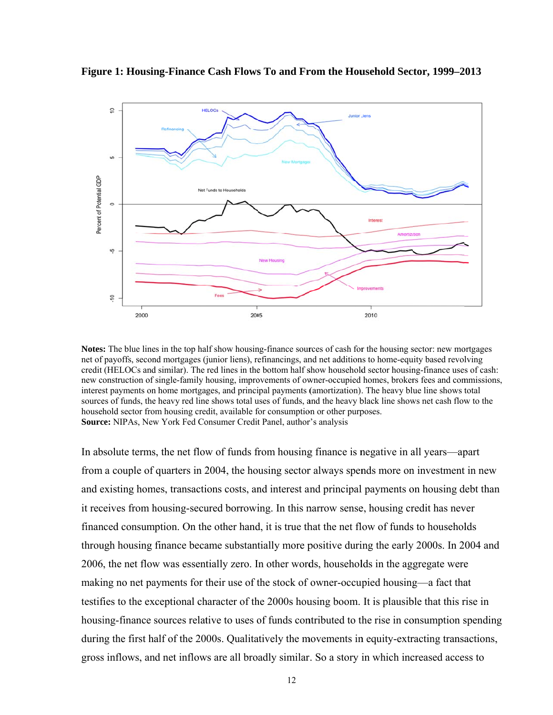

Figure 1: Housing-Finance Cash Flows To and From the Household Sector, 1999–2013

Notes: The blue lines in the top half show housing-finance sources of cash for the housing sector: new mortgages net of payoffs, second mortgages (junior liens), refinancings, and net additions to home-equity based revolving credit (HELOCs and similar). The red lines in the bottom half show household sector housing-finance uses of cash: new construction of single-family housing, improvements of owner-occupied homes, brokers fees and commissions, interest payments on home mortgages, and principal payments (amortization). The heavy blue line shows total sources of funds, the heavy red line shows total uses of funds, and the heavy black line shows net cash flow to the household sector from housing credit, available for consumption or other purposes. **Source:** NIPAs, New York Fed Consumer Credit Panel, author's analysis

In absolute terms, the net flow of funds from housing finance is negative in all years—apart from a couple of quarters in 2004, the housing sector always spends more on investment in new and existing homes, transactions costs, and interest and principal payments on housing debt than it receives from housing-secured borrowing. In this narrow sense, housing credit has never financed consumption. On the other hand, it is true that the net flow of funds to households through housing finance became substantially more positive during the early 2000s. In 2004 and 2006, the net flow was essentially zero. In other words, households in the aggregate were making no net payments for their use of the stock of owner-occupied housing—a fact that testifies to the exceptional character of the 2000s housing boom. It is plausible that this rise in housing-finance sources relative to uses of funds contributed to the rise in consumption spending during the first half of the 2000s. Qualitatively the movements in equity-extracting transactions, gross inflows, and net inflows are all broadly similar. So a story in which increased access to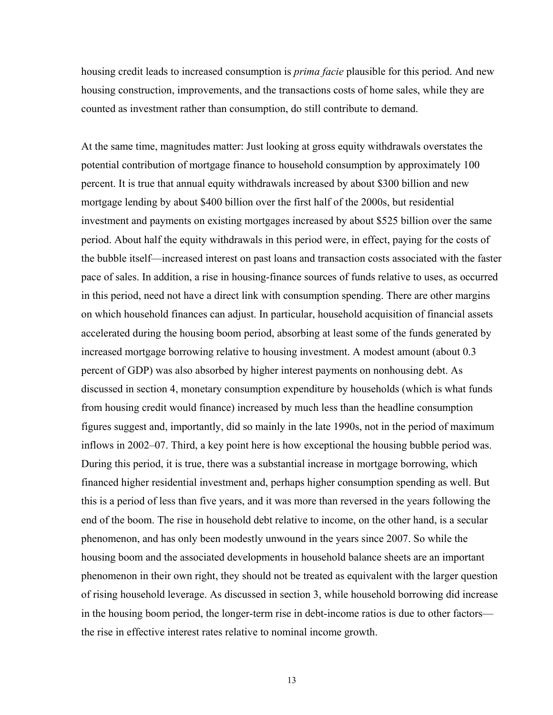housing credit leads to increased consumption is *prima facie* plausible for this period. And new housing construction, improvements, and the transactions costs of home sales, while they are counted as investment rather than consumption, do still contribute to demand.

At the same time, magnitudes matter: Just looking at gross equity withdrawals overstates the potential contribution of mortgage finance to household consumption by approximately 100 percent. It is true that annual equity withdrawals increased by about \$300 billion and new mortgage lending by about \$400 billion over the first half of the 2000s, but residential investment and payments on existing mortgages increased by about \$525 billion over the same period. About half the equity withdrawals in this period were, in effect, paying for the costs of the bubble itself—increased interest on past loans and transaction costs associated with the faster pace of sales. In addition, a rise in housing-finance sources of funds relative to uses, as occurred in this period, need not have a direct link with consumption spending. There are other margins on which household finances can adjust. In particular, household acquisition of financial assets accelerated during the housing boom period, absorbing at least some of the funds generated by increased mortgage borrowing relative to housing investment. A modest amount (about 0.3 percent of GDP) was also absorbed by higher interest payments on nonhousing debt. As discussed in section 4, monetary consumption expenditure by households (which is what funds from housing credit would finance) increased by much less than the headline consumption figures suggest and, importantly, did so mainly in the late 1990s, not in the period of maximum inflows in 2002–07. Third, a key point here is how exceptional the housing bubble period was. During this period, it is true, there was a substantial increase in mortgage borrowing, which financed higher residential investment and, perhaps higher consumption spending as well. But this is a period of less than five years, and it was more than reversed in the years following the end of the boom. The rise in household debt relative to income, on the other hand, is a secular phenomenon, and has only been modestly unwound in the years since 2007. So while the housing boom and the associated developments in household balance sheets are an important phenomenon in their own right, they should not be treated as equivalent with the larger question of rising household leverage. As discussed in section 3, while household borrowing did increase in the housing boom period, the longer-term rise in debt-income ratios is due to other factors the rise in effective interest rates relative to nominal income growth.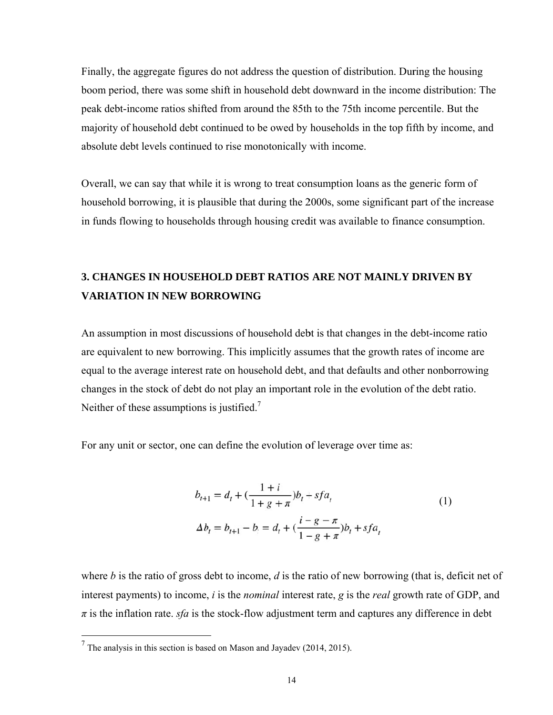Finally, the aggregate figures do not address the question of distribution. During the housing boom period, there was some shift in household debt downward in the income distribution: The peak debt-income ratios shifted from around the 85th to the 75th income percentile. But the majority of household debt continued to be owed by households in the top fifth by income, and absolute debt levels continued to rise monotonically with income.

Overall, we can say that while it is wrong to treat consumption loans as the generic form of household borrowing, it is plausible that during the 2000s, some significant part of the increase in funds flowing to households through housing credit was available to finance consumption.

## 3. CHANGES IN HOUSEHOLD DEBT RATIOS ARE NOT MAINLY DRIVEN BY **VARIATION IN NEW BORROWING**

An assumption in most discussions of household debt is that changes in the debt-income ratio are equivalent to new borrowing. This implicitly assumes that the growth rates of income are equal to the average interest rate on household debt, and that defaults and other nonborrowing changes in the stock of debt do not play an important role in the evolution of the debt ratio. Neither of these assumptions is justified.<sup>7</sup>

For any unit or sector, one can define the evolution of leverage over time as:

$$
b_{t+1} = d_t + \left(\frac{1+i}{1+g+\pi}b_t + sfa_t\right)
$$
  
\n
$$
\Delta b_t = b_{t+1} - b_t = d_t + \left(\frac{i-g-\pi}{1+g+\pi}b_t + sfa_t\right)
$$
\n(1)

where b is the ratio of gross debt to income,  $d$  is the ratio of new borrowing (that is, deficit net of interest payments) to income, *i* is the *nominal* interest rate, *g* is the *real* growth rate of GDP, and  $\pi$  is the inflation rate. *sfa* is the stock-flow adjustment term and captures any difference in debt

 $7$  The analysis in this section is based on Mason and Jayadev (2014, 2015).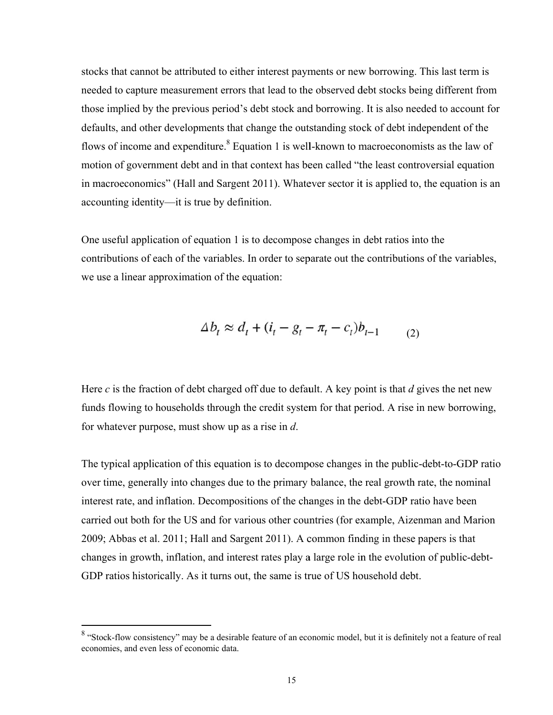stocks that cannot be attributed to either interest payments or new borrowing. This last term is needed to capture measurement errors that lead to the observed debt stocks being different from those implied by the previous period's debt stock and borrowing. It is also needed to account for defaults, and other developments that change the outstanding stock of debt independent of the flows of income and expenditure.<sup>8</sup> Equation 1 is well-known to macroeconomists as the law of motion of government debt and in that context has been called "the least controversial equation" in macroeconomics" (Hall and Sargent 2011). Whatever sector it is applied to, the equation is an accounting identity—it is true by definition.

One useful application of equation 1 is to decompose changes in debt ratios into the contributions of each of the variables. In order to separate out the contributions of the variables, we use a linear approximation of the equation:

$$
\Delta b_t \approx d_t + (i_t - g_t - \pi_t - c_t) b_{t-1} \tag{2}
$$

Here  $c$  is the fraction of debt charged off due to default. A key point is that  $d$  gives the net new funds flowing to households through the credit system for that period. A rise in new borrowing, for whatever purpose, must show up as a rise in  $d$ .

The typical application of this equation is to decompose changes in the public-debt-to-GDP ratio over time, generally into changes due to the primary balance, the real growth rate, the nominal interest rate, and inflation. Decompositions of the changes in the debt-GDP ratio have been carried out both for the US and for various other countries (for example, Aizenman and Marion 2009; Abbas et al. 2011; Hall and Sargent 2011). A common finding in these papers is that changes in growth, inflation, and interest rates play a large role in the evolution of public-debt-GDP ratios historically. As it turns out, the same is true of US household debt.

<sup>&</sup>lt;sup>8</sup> "Stock-flow consistency" may be a desirable feature of an economic model, but it is definitely not a feature of real economies, and even less of economic data.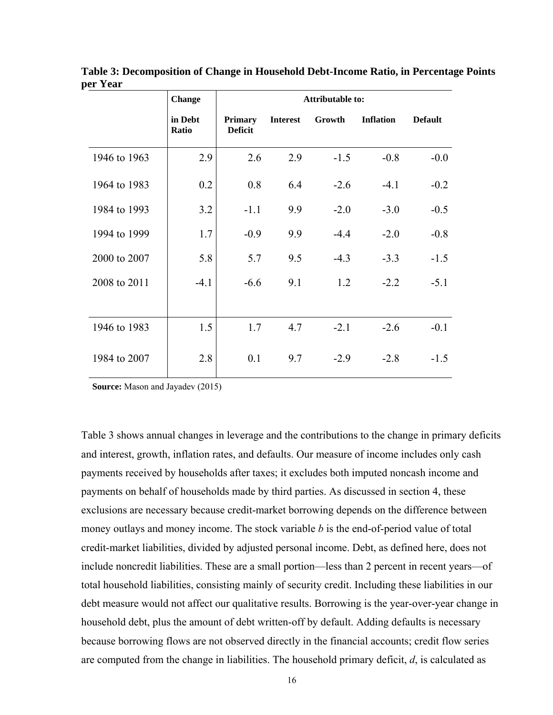|              | <b>Change</b>           |                                  | <b>Attributable to:</b> |        |                  |                |
|--------------|-------------------------|----------------------------------|-------------------------|--------|------------------|----------------|
|              | in Debt<br><b>Ratio</b> | <b>Primary</b><br><b>Deficit</b> | <b>Interest</b>         | Growth | <b>Inflation</b> | <b>Default</b> |
| 1946 to 1963 | 2.9                     | 2.6                              | 2.9                     | $-1.5$ | $-0.8$           | $-0.0$         |
| 1964 to 1983 | 0.2                     | 0.8                              | 6.4                     | $-2.6$ | $-4.1$           | $-0.2$         |
| 1984 to 1993 | 3.2                     | $-1.1$                           | 9.9                     | $-2.0$ | $-3.0$           | $-0.5$         |
| 1994 to 1999 | 1.7                     | $-0.9$                           | 9.9                     | $-4.4$ | $-2.0$           | $-0.8$         |
| 2000 to 2007 | 5.8                     | 5.7                              | 9.5                     | $-4.3$ | $-3.3$           | $-1.5$         |
| 2008 to 2011 | $-4.1$                  | $-6.6$                           | 9.1                     | 1.2    | $-2.2$           | $-5.1$         |
| 1946 to 1983 | 1.5                     | 1.7                              | 4.7                     | $-2.1$ | $-2.6$           | $-0.1$         |
| 1984 to 2007 | 2.8                     | 0.1                              | 9.7                     | $-2.9$ | $-2.8$           | $-1.5$         |

**Table 3: Decomposition of Change in Household Debt-Income Ratio, in Percentage Points per Year** 

**Source:** Mason and Jayadev (2015)

Table 3 shows annual changes in leverage and the contributions to the change in primary deficits and interest, growth, inflation rates, and defaults. Our measure of income includes only cash payments received by households after taxes; it excludes both imputed noncash income and payments on behalf of households made by third parties. As discussed in section 4, these exclusions are necessary because credit-market borrowing depends on the difference between money outlays and money income. The stock variable *b* is the end-of-period value of total credit-market liabilities, divided by adjusted personal income. Debt, as defined here, does not include noncredit liabilities. These are a small portion—less than 2 percent in recent years—of total household liabilities, consisting mainly of security credit. Including these liabilities in our debt measure would not affect our qualitative results. Borrowing is the year-over-year change in household debt, plus the amount of debt written-off by default. Adding defaults is necessary because borrowing flows are not observed directly in the financial accounts; credit flow series are computed from the change in liabilities. The household primary deficit, *d*, is calculated as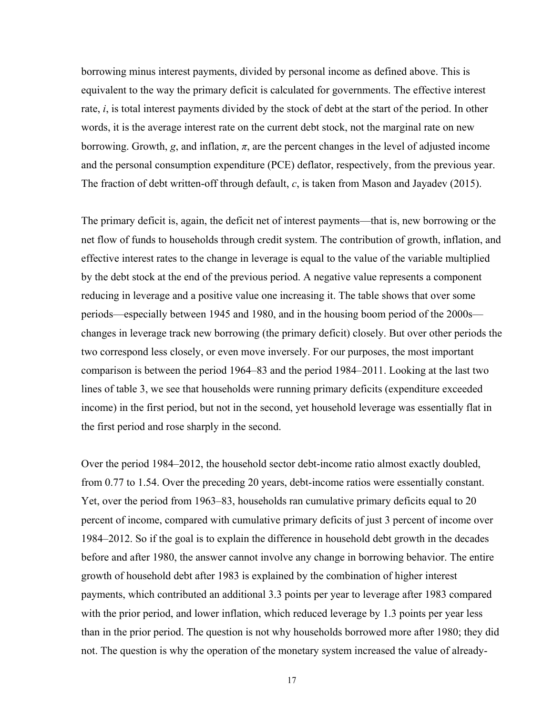borrowing minus interest payments, divided by personal income as defined above. This is equivalent to the way the primary deficit is calculated for governments. The effective interest rate, *i*, is total interest payments divided by the stock of debt at the start of the period. In other words, it is the average interest rate on the current debt stock, not the marginal rate on new borrowing. Growth, *g*, and inflation,  $\pi$ , are the percent changes in the level of adjusted income and the personal consumption expenditure (PCE) deflator, respectively, from the previous year. The fraction of debt written-off through default, *c*, is taken from Mason and Jayadev (2015).

The primary deficit is, again, the deficit net of interest payments—that is, new borrowing or the net flow of funds to households through credit system. The contribution of growth, inflation, and effective interest rates to the change in leverage is equal to the value of the variable multiplied by the debt stock at the end of the previous period. A negative value represents a component reducing in leverage and a positive value one increasing it. The table shows that over some periods—especially between 1945 and 1980, and in the housing boom period of the 2000s changes in leverage track new borrowing (the primary deficit) closely. But over other periods the two correspond less closely, or even move inversely. For our purposes, the most important comparison is between the period 1964–83 and the period 1984–2011. Looking at the last two lines of table 3, we see that households were running primary deficits (expenditure exceeded income) in the first period, but not in the second, yet household leverage was essentially flat in the first period and rose sharply in the second.

Over the period 1984–2012, the household sector debt-income ratio almost exactly doubled, from 0.77 to 1.54. Over the preceding 20 years, debt-income ratios were essentially constant. Yet, over the period from 1963–83, households ran cumulative primary deficits equal to 20 percent of income, compared with cumulative primary deficits of just 3 percent of income over 1984–2012. So if the goal is to explain the difference in household debt growth in the decades before and after 1980, the answer cannot involve any change in borrowing behavior. The entire growth of household debt after 1983 is explained by the combination of higher interest payments, which contributed an additional 3.3 points per year to leverage after 1983 compared with the prior period, and lower inflation, which reduced leverage by 1.3 points per year less than in the prior period. The question is not why households borrowed more after 1980; they did not. The question is why the operation of the monetary system increased the value of already-

17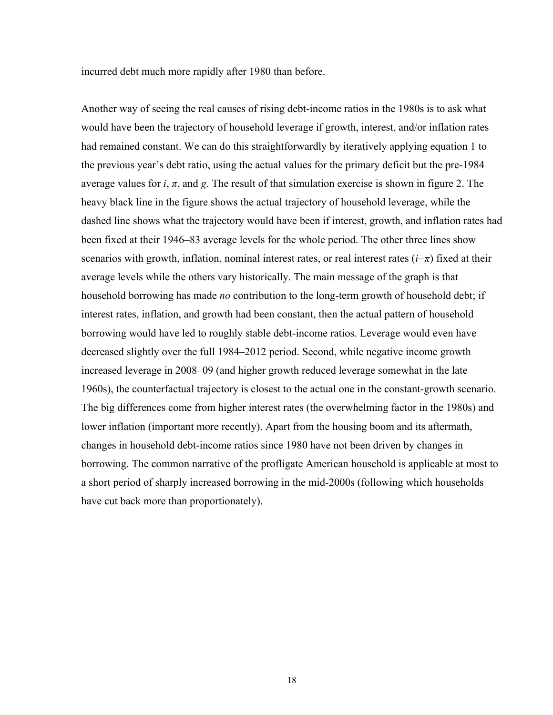incurred debt much more rapidly after 1980 than before.

Another way of seeing the real causes of rising debt-income ratios in the 1980s is to ask what would have been the trajectory of household leverage if growth, interest, and/or inflation rates had remained constant. We can do this straightforwardly by iteratively applying equation 1 to the previous year's debt ratio, using the actual values for the primary deficit but the pre-1984 average values for  $i$ ,  $\pi$ , and  $g$ . The result of that simulation exercise is shown in figure 2. The heavy black line in the figure shows the actual trajectory of household leverage, while the dashed line shows what the trajectory would have been if interest, growth, and inflation rates had been fixed at their 1946–83 average levels for the whole period. The other three lines show scenarios with growth, inflation, nominal interest rates, or real interest rates (*i*−*π*) fixed at their average levels while the others vary historically. The main message of the graph is that household borrowing has made *no* contribution to the long-term growth of household debt; if interest rates, inflation, and growth had been constant, then the actual pattern of household borrowing would have led to roughly stable debt-income ratios. Leverage would even have decreased slightly over the full 1984–2012 period. Second, while negative income growth increased leverage in 2008–09 (and higher growth reduced leverage somewhat in the late 1960s), the counterfactual trajectory is closest to the actual one in the constant-growth scenario. The big differences come from higher interest rates (the overwhelming factor in the 1980s) and lower inflation (important more recently). Apart from the housing boom and its aftermath, changes in household debt-income ratios since 1980 have not been driven by changes in borrowing. The common narrative of the profligate American household is applicable at most to a short period of sharply increased borrowing in the mid-2000s (following which households have cut back more than proportionately).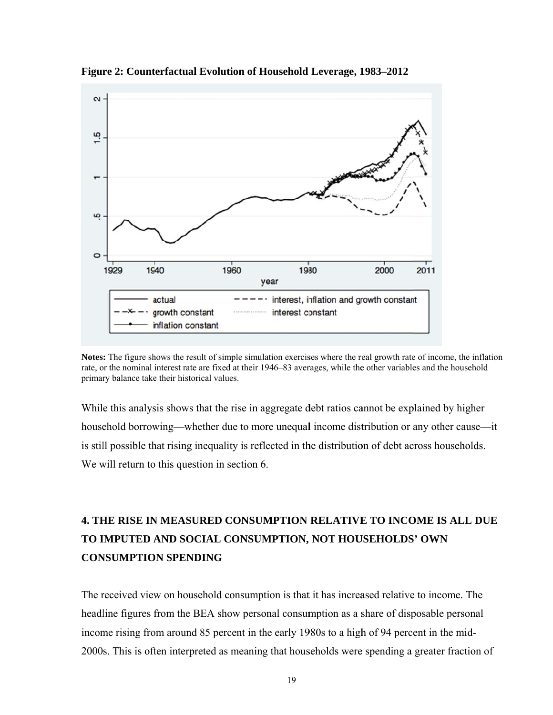

Figure 2: Counterfactual Evolution of Household Leverage, 1983-2012

Notes: The figure shows the result of simple simulation exercises where the real growth rate of income, the inflation rate, or the nominal interest rate are fixed at their 1946–83 averages, while the other variables and the household primary balance take their historical values.

While this analysis shows that the rise in aggregate debt ratios cannot be explained by higher household borrowing—whether due to more unequal income distribution or any other cause—it is still possible that rising inequality is reflected in the distribution of debt across households. We will return to this question in section 6.

# **4. THE RISE IN MEASURED CONSUMPTION RELATIVE TO INCOME IS ALL DUE** TO IMPUTED AND SOCIAL CONSUMPTION, NOT HOUSEHOLDS' OWN **CONSUMPTION SPENDING**

The received view on household consumption is that it has increased relative to income. The headline figures from the BEA show personal consumption as a share of disposable personal income rising from around 85 percent in the early 1980s to a high of 94 percent in the mid-2000s. This is often interpreted as meaning that households were spending a greater fraction of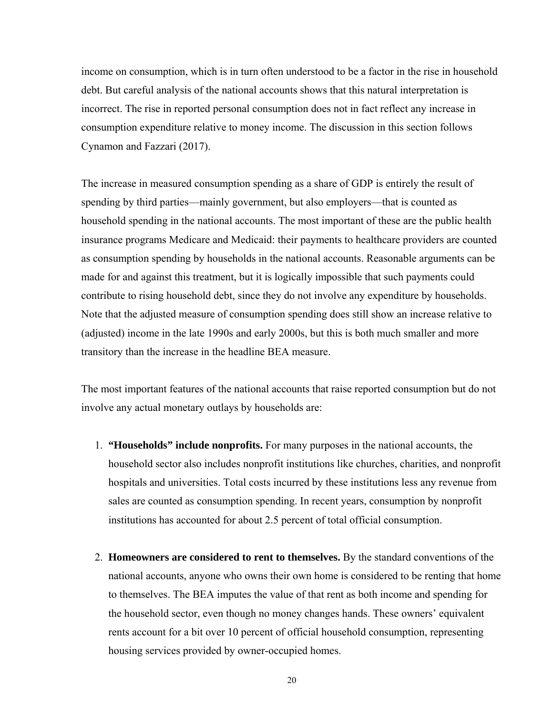income on consumption, which is in turn often understood to be a factor in the rise in household debt. But careful analysis of the national accounts shows that this natural interpretation is incorrect. The rise in reported personal consumption does not in fact reflect any increase in consumption expenditure relative to money income. The discussion in this section follows Cynamon and Fazzari (2017).

The increase in measured consumption spending as a share of GDP is entirely the result of spending by third parties—mainly government, but also employers—that is counted as household spending in the national accounts. The most important of these are the public health insurance programs Medicare and Medicaid: their payments to healthcare providers are counted as consumption spending by households in the national accounts. Reasonable arguments can be made for and against this treatment, but it is logically impossible that such payments could contribute to rising household debt, since they do not involve any expenditure by households. Note that the adjusted measure of consumption spending does still show an increase relative to (adjusted) income in the late 1990s and early 2000s, but this is both much smaller and more transitory than the increase in the headline BEA measure.

The most important features of the national accounts that raise reported consumption but do not involve any actual monetary outlays by households are:

- 1. **"Households" include nonprofits.** For many purposes in the national accounts, the household sector also includes nonprofit institutions like churches, charities, and nonprofit hospitals and universities. Total costs incurred by these institutions less any revenue from sales are counted as consumption spending. In recent years, consumption by nonprofit institutions has accounted for about 2.5 percent of total official consumption.
- 2. **Homeowners are considered to rent to themselves.** By the standard conventions of the national accounts, anyone who owns their own home is considered to be renting that home to themselves. The BEA imputes the value of that rent as both income and spending for the household sector, even though no money changes hands. These owners' equivalent rents account for a bit over 10 percent of official household consumption, representing housing services provided by owner-occupied homes.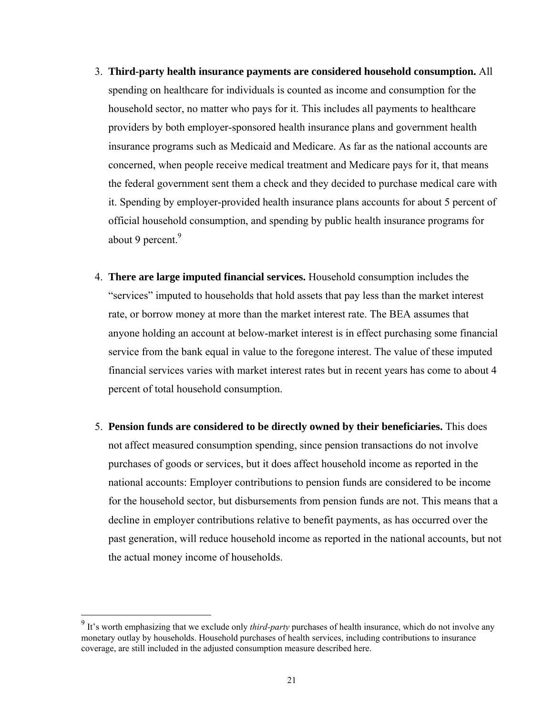- 3. **Third-party health insurance payments are considered household consumption.** All spending on healthcare for individuals is counted as income and consumption for the household sector, no matter who pays for it. This includes all payments to healthcare providers by both employer-sponsored health insurance plans and government health insurance programs such as Medicaid and Medicare. As far as the national accounts are concerned, when people receive medical treatment and Medicare pays for it, that means the federal government sent them a check and they decided to purchase medical care with it. Spending by employer-provided health insurance plans accounts for about 5 percent of official household consumption, and spending by public health insurance programs for about 9 percent.<sup>9</sup>
- 4. **There are large imputed financial services.** Household consumption includes the "services" imputed to households that hold assets that pay less than the market interest rate, or borrow money at more than the market interest rate. The BEA assumes that anyone holding an account at below-market interest is in effect purchasing some financial service from the bank equal in value to the foregone interest. The value of these imputed financial services varies with market interest rates but in recent years has come to about 4 percent of total household consumption.
- 5. **Pension funds are considered to be directly owned by their beneficiaries.** This does not affect measured consumption spending, since pension transactions do not involve purchases of goods or services, but it does affect household income as reported in the national accounts: Employer contributions to pension funds are considered to be income for the household sector, but disbursements from pension funds are not. This means that a decline in employer contributions relative to benefit payments, as has occurred over the past generation, will reduce household income as reported in the national accounts, but not the actual money income of households.

1

<sup>&</sup>lt;sup>9</sup> It's worth emphasizing that we exclude only *third-party* purchases of health insurance, which do not involve any monetary outlay by households. Household purchases of health services, including contributions to insurance coverage, are still included in the adjusted consumption measure described here.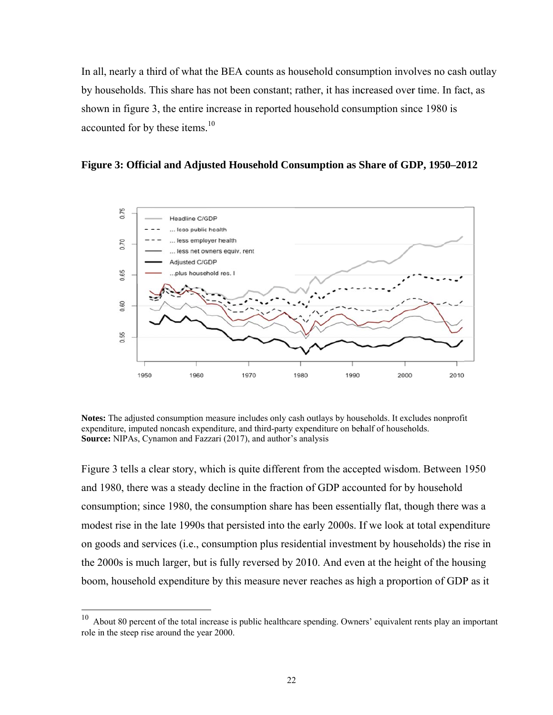In all, nearly a third of what the BEA counts as household consumption involves no cash outlay by households. This share has not been constant; rather, it has increased over time. In fact, as shown in figure 3, the entire increase in reported household consumption since 1980 is accounted for by these items.<sup>10</sup>





Notes: The adjusted consumption measure includes only cash outlays by households. It excludes nonprofit expenditure, imputed noncash expenditure, and third-party expenditure on behalf of households. Source: NIPAs, Cynamon and Fazzari (2017), and author's analysis

Figure 3 tells a clear story, which is quite different from the accepted wisdom. Between 1950 and 1980, there was a steady decline in the fraction of GDP accounted for by household consumption; since 1980, the consumption share has been essentially flat, though there was a modest rise in the late 1990s that persisted into the early 2000s. If we look at total expenditure on goods and services (i.e., consumption plus residential investment by households) the rise in the 2000s is much larger, but is fully reversed by 2010. And even at the height of the housing boom, household expenditure by this measure never reaches as high a proportion of GDP as it

 $10$  About 80 percent of the total increase is public healthcare spending. Owners' equivalent rents play an important role in the steep rise around the year 2000.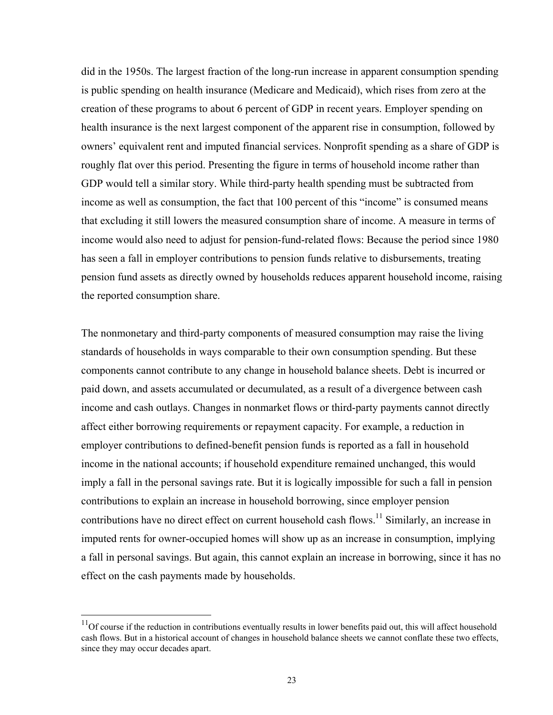did in the 1950s. The largest fraction of the long-run increase in apparent consumption spending is public spending on health insurance (Medicare and Medicaid), which rises from zero at the creation of these programs to about 6 percent of GDP in recent years. Employer spending on health insurance is the next largest component of the apparent rise in consumption, followed by owners' equivalent rent and imputed financial services. Nonprofit spending as a share of GDP is roughly flat over this period. Presenting the figure in terms of household income rather than GDP would tell a similar story. While third-party health spending must be subtracted from income as well as consumption, the fact that 100 percent of this "income" is consumed means that excluding it still lowers the measured consumption share of income. A measure in terms of income would also need to adjust for pension-fund-related flows: Because the period since 1980 has seen a fall in employer contributions to pension funds relative to disbursements, treating pension fund assets as directly owned by households reduces apparent household income, raising the reported consumption share.

The nonmonetary and third-party components of measured consumption may raise the living standards of households in ways comparable to their own consumption spending. But these components cannot contribute to any change in household balance sheets. Debt is incurred or paid down, and assets accumulated or decumulated, as a result of a divergence between cash income and cash outlays. Changes in nonmarket flows or third-party payments cannot directly affect either borrowing requirements or repayment capacity. For example, a reduction in employer contributions to defined-benefit pension funds is reported as a fall in household income in the national accounts; if household expenditure remained unchanged, this would imply a fall in the personal savings rate. But it is logically impossible for such a fall in pension contributions to explain an increase in household borrowing, since employer pension contributions have no direct effect on current household cash flows.<sup>11</sup> Similarly, an increase in imputed rents for owner-occupied homes will show up as an increase in consumption, implying a fall in personal savings. But again, this cannot explain an increase in borrowing, since it has no effect on the cash payments made by households.

 $\overline{a}$ 

 $11$ Of course if the reduction in contributions eventually results in lower benefits paid out, this will affect household cash flows. But in a historical account of changes in household balance sheets we cannot conflate these two effects, since they may occur decades apart.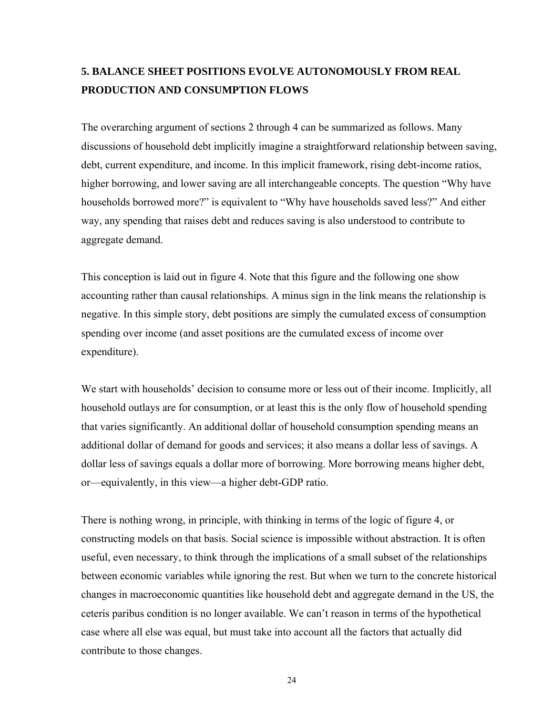## **5. BALANCE SHEET POSITIONS EVOLVE AUTONOMOUSLY FROM REAL PRODUCTION AND CONSUMPTION FLOWS**

The overarching argument of sections 2 through 4 can be summarized as follows. Many discussions of household debt implicitly imagine a straightforward relationship between saving, debt, current expenditure, and income. In this implicit framework, rising debt-income ratios, higher borrowing, and lower saving are all interchangeable concepts. The question "Why have households borrowed more?" is equivalent to "Why have households saved less?" And either way, any spending that raises debt and reduces saving is also understood to contribute to aggregate demand.

This conception is laid out in figure 4. Note that this figure and the following one show accounting rather than causal relationships. A minus sign in the link means the relationship is negative. In this simple story, debt positions are simply the cumulated excess of consumption spending over income (and asset positions are the cumulated excess of income over expenditure).

We start with households' decision to consume more or less out of their income. Implicitly, all household outlays are for consumption, or at least this is the only flow of household spending that varies significantly. An additional dollar of household consumption spending means an additional dollar of demand for goods and services; it also means a dollar less of savings. A dollar less of savings equals a dollar more of borrowing. More borrowing means higher debt, or—equivalently, in this view—a higher debt-GDP ratio.

There is nothing wrong, in principle, with thinking in terms of the logic of figure 4, or constructing models on that basis. Social science is impossible without abstraction. It is often useful, even necessary, to think through the implications of a small subset of the relationships between economic variables while ignoring the rest. But when we turn to the concrete historical changes in macroeconomic quantities like household debt and aggregate demand in the US, the ceteris paribus condition is no longer available. We can't reason in terms of the hypothetical case where all else was equal, but must take into account all the factors that actually did contribute to those changes.

24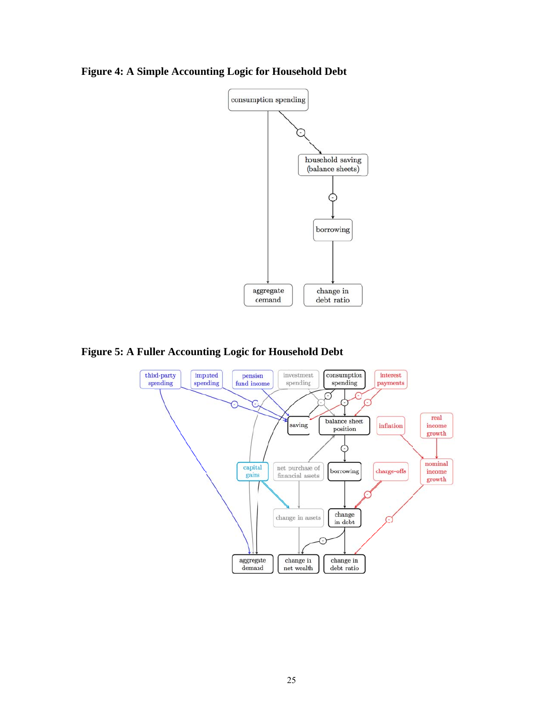



Figure 5: A Fuller Accounting Logic for Household Debt

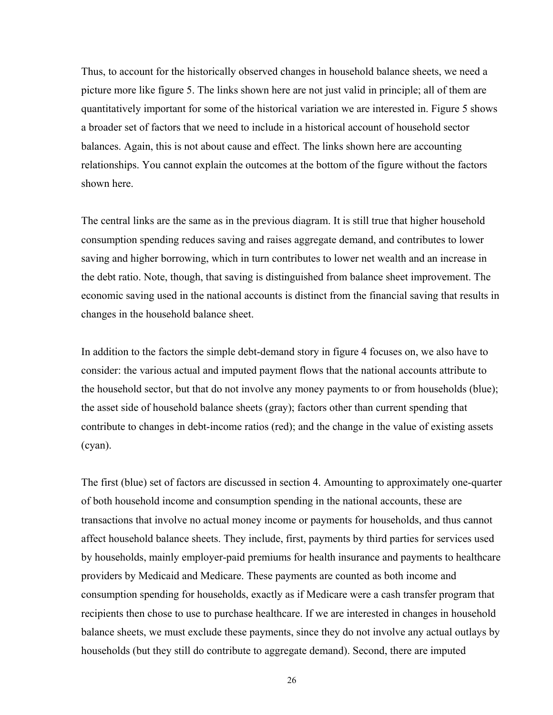Thus, to account for the historically observed changes in household balance sheets, we need a picture more like figure 5. The links shown here are not just valid in principle; all of them are quantitatively important for some of the historical variation we are interested in. Figure 5 shows a broader set of factors that we need to include in a historical account of household sector balances. Again, this is not about cause and effect. The links shown here are accounting relationships. You cannot explain the outcomes at the bottom of the figure without the factors shown here.

The central links are the same as in the previous diagram. It is still true that higher household consumption spending reduces saving and raises aggregate demand, and contributes to lower saving and higher borrowing, which in turn contributes to lower net wealth and an increase in the debt ratio. Note, though, that saving is distinguished from balance sheet improvement. The economic saving used in the national accounts is distinct from the financial saving that results in changes in the household balance sheet.

In addition to the factors the simple debt-demand story in figure 4 focuses on, we also have to consider: the various actual and imputed payment flows that the national accounts attribute to the household sector, but that do not involve any money payments to or from households (blue); the asset side of household balance sheets (gray); factors other than current spending that contribute to changes in debt-income ratios (red); and the change in the value of existing assets (cyan).

The first (blue) set of factors are discussed in section 4. Amounting to approximately one-quarter of both household income and consumption spending in the national accounts, these are transactions that involve no actual money income or payments for households, and thus cannot affect household balance sheets. They include, first, payments by third parties for services used by households, mainly employer-paid premiums for health insurance and payments to healthcare providers by Medicaid and Medicare. These payments are counted as both income and consumption spending for households, exactly as if Medicare were a cash transfer program that recipients then chose to use to purchase healthcare. If we are interested in changes in household balance sheets, we must exclude these payments, since they do not involve any actual outlays by households (but they still do contribute to aggregate demand). Second, there are imputed

26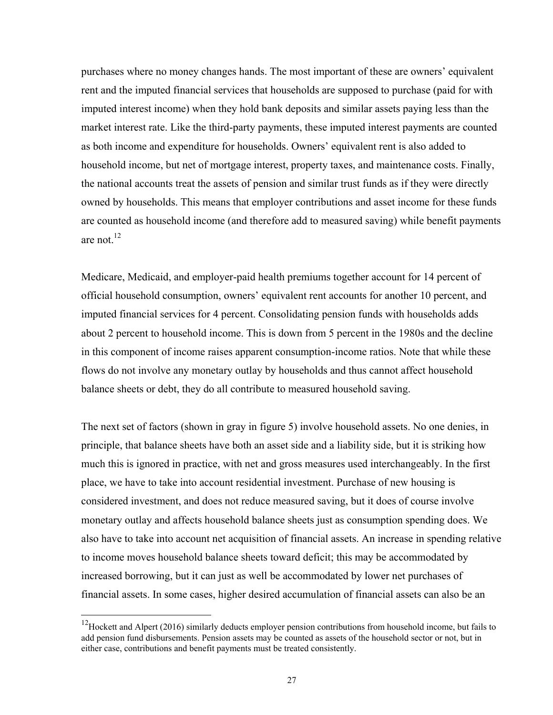purchases where no money changes hands. The most important of these are owners' equivalent rent and the imputed financial services that households are supposed to purchase (paid for with imputed interest income) when they hold bank deposits and similar assets paying less than the market interest rate. Like the third-party payments, these imputed interest payments are counted as both income and expenditure for households. Owners' equivalent rent is also added to household income, but net of mortgage interest, property taxes, and maintenance costs. Finally, the national accounts treat the assets of pension and similar trust funds as if they were directly owned by households. This means that employer contributions and asset income for these funds are counted as household income (and therefore add to measured saving) while benefit payments are not.<sup>12</sup>

Medicare, Medicaid, and employer-paid health premiums together account for 14 percent of official household consumption, owners' equivalent rent accounts for another 10 percent, and imputed financial services for 4 percent. Consolidating pension funds with households adds about 2 percent to household income. This is down from 5 percent in the 1980s and the decline in this component of income raises apparent consumption-income ratios. Note that while these flows do not involve any monetary outlay by households and thus cannot affect household balance sheets or debt, they do all contribute to measured household saving.

The next set of factors (shown in gray in figure 5) involve household assets. No one denies, in principle, that balance sheets have both an asset side and a liability side, but it is striking how much this is ignored in practice, with net and gross measures used interchangeably. In the first place, we have to take into account residential investment. Purchase of new housing is considered investment, and does not reduce measured saving, but it does of course involve monetary outlay and affects household balance sheets just as consumption spending does. We also have to take into account net acquisition of financial assets. An increase in spending relative to income moves household balance sheets toward deficit; this may be accommodated by increased borrowing, but it can just as well be accommodated by lower net purchases of financial assets. In some cases, higher desired accumulation of financial assets can also be an

 $\overline{a}$ 

 $12$ Hockett and Alpert (2016) similarly deducts employer pension contributions from household income, but fails to add pension fund disbursements. Pension assets may be counted as assets of the household sector or not, but in either case, contributions and benefit payments must be treated consistently.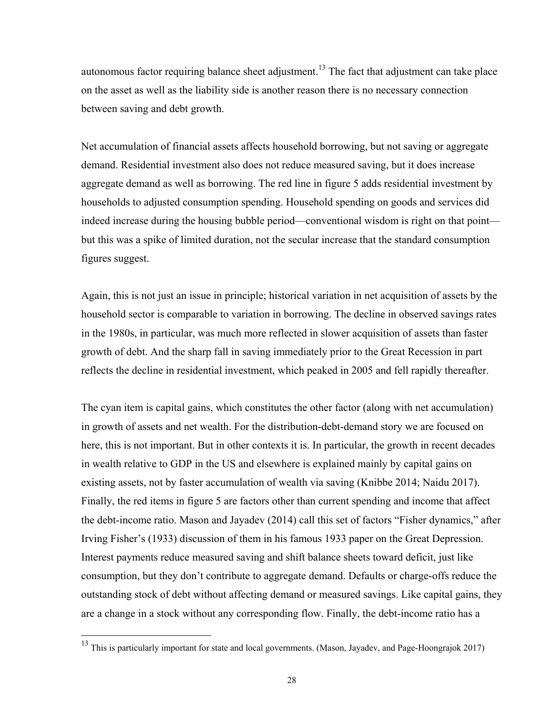autonomous factor requiring balance sheet adjustment.<sup>13</sup> The fact that adjustment can take place on the asset as well as the liability side is another reason there is no necessary connection between saving and debt growth.

Net accumulation of financial assets affects household borrowing, but not saving or aggregate demand. Residential investment also does not reduce measured saving, but it does increase aggregate demand as well as borrowing. The red line in figure 5 adds residential investment by households to adjusted consumption spending. Household spending on goods and services did indeed increase during the housing bubble period—conventional wisdom is right on that point but this was a spike of limited duration, not the secular increase that the standard consumption figures suggest.

Again, this is not just an issue in principle; historical variation in net acquisition of assets by the household sector is comparable to variation in borrowing. The decline in observed savings rates in the 1980s, in particular, was much more reflected in slower acquisition of assets than faster growth of debt. And the sharp fall in saving immediately prior to the Great Recession in part reflects the decline in residential investment, which peaked in 2005 and fell rapidly thereafter.

The cyan item is capital gains, which constitutes the other factor (along with net accumulation) in growth of assets and net wealth. For the distribution-debt-demand story we are focused on here, this is not important. But in other contexts it is. In particular, the growth in recent decades in wealth relative to GDP in the US and elsewhere is explained mainly by capital gains on existing assets, not by faster accumulation of wealth via saving (Knibbe 2014; Naidu 2017). Finally, the red items in figure 5 are factors other than current spending and income that affect the debt-income ratio. Mason and Jayadev (2014) call this set of factors "Fisher dynamics," after Irving Fisher's (1933) discussion of them in his famous 1933 paper on the Great Depression. Interest payments reduce measured saving and shift balance sheets toward deficit, just like consumption, but they don't contribute to aggregate demand. Defaults or charge-offs reduce the outstanding stock of debt without affecting demand or measured savings. Like capital gains, they are a change in a stock without any corresponding flow. Finally, the debt-income ratio has a

 $\overline{a}$ 

<sup>&</sup>lt;sup>13</sup> This is particularly important for state and local governments. (Mason, Jayadev, and Page-Hoongrajok 2017)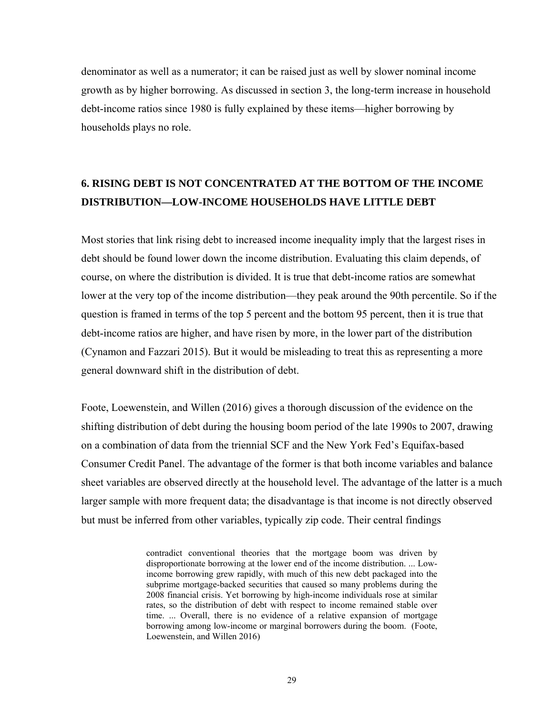denominator as well as a numerator; it can be raised just as well by slower nominal income growth as by higher borrowing. As discussed in section 3, the long-term increase in household debt-income ratios since 1980 is fully explained by these items—higher borrowing by households plays no role.

## **6. RISING DEBT IS NOT CONCENTRATED AT THE BOTTOM OF THE INCOME DISTRIBUTION—LOW-INCOME HOUSEHOLDS HAVE LITTLE DEBT**

Most stories that link rising debt to increased income inequality imply that the largest rises in debt should be found lower down the income distribution. Evaluating this claim depends, of course, on where the distribution is divided. It is true that debt-income ratios are somewhat lower at the very top of the income distribution—they peak around the 90th percentile. So if the question is framed in terms of the top 5 percent and the bottom 95 percent, then it is true that debt-income ratios are higher, and have risen by more, in the lower part of the distribution (Cynamon and Fazzari 2015). But it would be misleading to treat this as representing a more general downward shift in the distribution of debt.

Foote, Loewenstein, and Willen (2016) gives a thorough discussion of the evidence on the shifting distribution of debt during the housing boom period of the late 1990s to 2007, drawing on a combination of data from the triennial SCF and the New York Fed's Equifax-based Consumer Credit Panel. The advantage of the former is that both income variables and balance sheet variables are observed directly at the household level. The advantage of the latter is a much larger sample with more frequent data; the disadvantage is that income is not directly observed but must be inferred from other variables, typically zip code. Their central findings

> contradict conventional theories that the mortgage boom was driven by disproportionate borrowing at the lower end of the income distribution. ... Lowincome borrowing grew rapidly, with much of this new debt packaged into the subprime mortgage-backed securities that caused so many problems during the 2008 financial crisis. Yet borrowing by high-income individuals rose at similar rates, so the distribution of debt with respect to income remained stable over time. ... Overall, there is no evidence of a relative expansion of mortgage borrowing among low-income or marginal borrowers during the boom. (Foote, Loewenstein, and Willen 2016)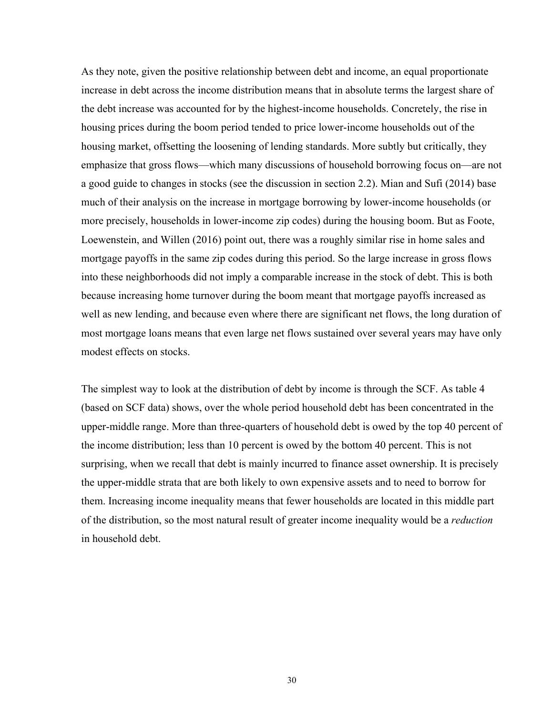As they note, given the positive relationship between debt and income, an equal proportionate increase in debt across the income distribution means that in absolute terms the largest share of the debt increase was accounted for by the highest-income households. Concretely, the rise in housing prices during the boom period tended to price lower-income households out of the housing market, offsetting the loosening of lending standards. More subtly but critically, they emphasize that gross flows—which many discussions of household borrowing focus on—are not a good guide to changes in stocks (see the discussion in section 2.2). Mian and Sufi (2014) base much of their analysis on the increase in mortgage borrowing by lower-income households (or more precisely, households in lower-income zip codes) during the housing boom. But as Foote, Loewenstein, and Willen (2016) point out, there was a roughly similar rise in home sales and mortgage payoffs in the same zip codes during this period. So the large increase in gross flows into these neighborhoods did not imply a comparable increase in the stock of debt. This is both because increasing home turnover during the boom meant that mortgage payoffs increased as well as new lending, and because even where there are significant net flows, the long duration of most mortgage loans means that even large net flows sustained over several years may have only modest effects on stocks.

The simplest way to look at the distribution of debt by income is through the SCF. As table 4 (based on SCF data) shows, over the whole period household debt has been concentrated in the upper-middle range. More than three-quarters of household debt is owed by the top 40 percent of the income distribution; less than 10 percent is owed by the bottom 40 percent. This is not surprising, when we recall that debt is mainly incurred to finance asset ownership. It is precisely the upper-middle strata that are both likely to own expensive assets and to need to borrow for them. Increasing income inequality means that fewer households are located in this middle part of the distribution, so the most natural result of greater income inequality would be a *reduction* in household debt.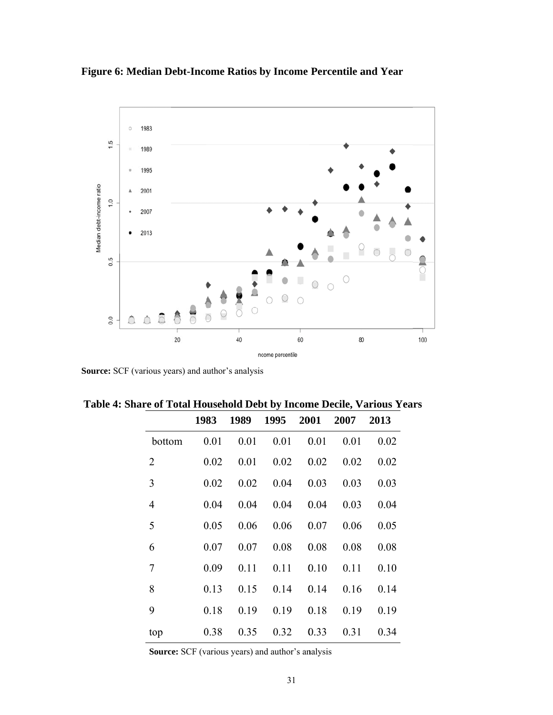



Source: SCF (various years) and author's analysis

|                | 1983 | 1989 | 1995 | 2001 | 2007 | 2013 |
|----------------|------|------|------|------|------|------|
| bottom         | 0.01 | 0.01 | 0.01 | 0.01 | 0.01 | 0.02 |
| $\overline{2}$ | 0.02 | 0.01 | 0.02 | 0.02 | 0.02 | 0.02 |
| 3              | 0.02 | 0.02 | 0.04 | 0.03 | 0.03 | 0.03 |
| $\overline{4}$ | 0.04 | 0.04 | 0.04 | 0.04 | 0.03 | 0.04 |
| 5              | 0.05 | 0.06 | 0.06 | 0.07 | 0.06 | 0.05 |
| 6              | 0.07 | 0.07 | 0.08 | 0.08 | 0.08 | 0.08 |
| 7              | 0.09 | 0.11 | 0.11 | 0.10 | 0.11 | 0.10 |
| 8              | 0.13 | 0.15 | 0.14 | 0.14 | 0.16 | 0.14 |
| 9              | 0.18 | 0.19 | 0.19 | 0.18 | 0.19 | 0.19 |
| top            | 0.38 | 0.35 | 0.32 | 0.33 | 0.31 | 0.34 |

Table 4: Share of Total Household Debt by Income Decile, Various Years

Source: SCF (various years) and author's analysis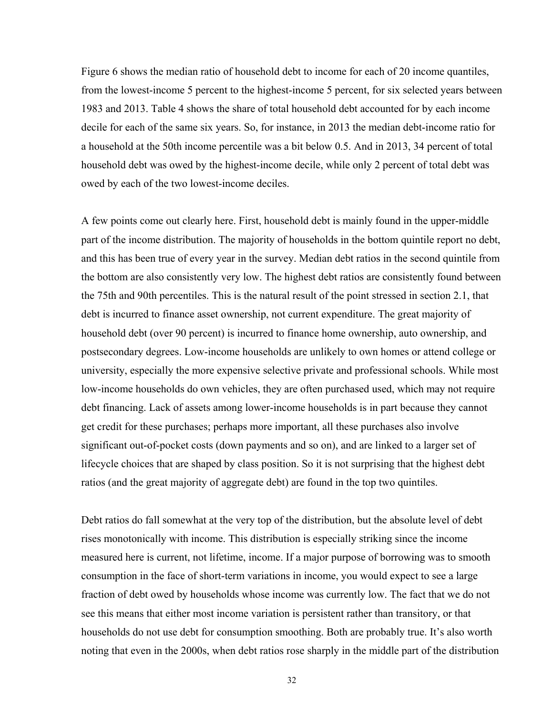Figure 6 shows the median ratio of household debt to income for each of 20 income quantiles, from the lowest-income 5 percent to the highest-income 5 percent, for six selected years between 1983 and 2013. Table 4 shows the share of total household debt accounted for by each income decile for each of the same six years. So, for instance, in 2013 the median debt-income ratio for a household at the 50th income percentile was a bit below 0.5. And in 2013, 34 percent of total household debt was owed by the highest-income decile, while only 2 percent of total debt was owed by each of the two lowest-income deciles.

A few points come out clearly here. First, household debt is mainly found in the upper-middle part of the income distribution. The majority of households in the bottom quintile report no debt, and this has been true of every year in the survey. Median debt ratios in the second quintile from the bottom are also consistently very low. The highest debt ratios are consistently found between the 75th and 90th percentiles. This is the natural result of the point stressed in section 2.1, that debt is incurred to finance asset ownership, not current expenditure. The great majority of household debt (over 90 percent) is incurred to finance home ownership, auto ownership, and postsecondary degrees. Low-income households are unlikely to own homes or attend college or university, especially the more expensive selective private and professional schools. While most low-income households do own vehicles, they are often purchased used, which may not require debt financing. Lack of assets among lower-income households is in part because they cannot get credit for these purchases; perhaps more important, all these purchases also involve significant out-of-pocket costs (down payments and so on), and are linked to a larger set of lifecycle choices that are shaped by class position. So it is not surprising that the highest debt ratios (and the great majority of aggregate debt) are found in the top two quintiles.

Debt ratios do fall somewhat at the very top of the distribution, but the absolute level of debt rises monotonically with income. This distribution is especially striking since the income measured here is current, not lifetime, income. If a major purpose of borrowing was to smooth consumption in the face of short-term variations in income, you would expect to see a large fraction of debt owed by households whose income was currently low. The fact that we do not see this means that either most income variation is persistent rather than transitory, or that households do not use debt for consumption smoothing. Both are probably true. It's also worth noting that even in the 2000s, when debt ratios rose sharply in the middle part of the distribution

32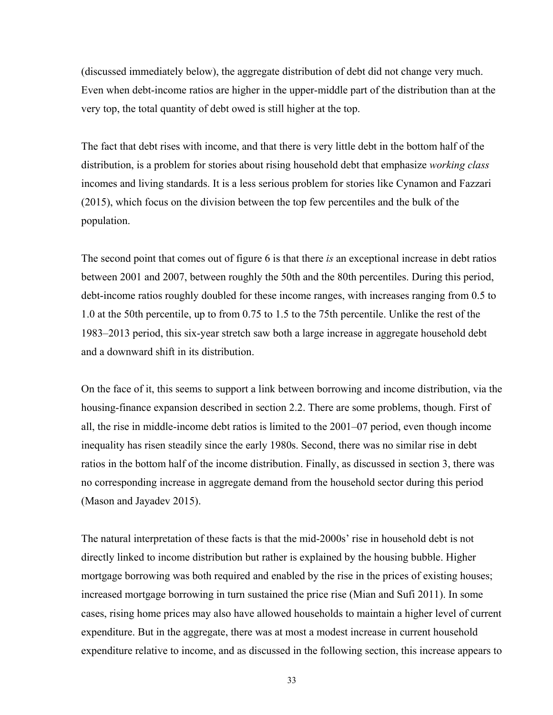(discussed immediately below), the aggregate distribution of debt did not change very much. Even when debt-income ratios are higher in the upper-middle part of the distribution than at the very top, the total quantity of debt owed is still higher at the top.

The fact that debt rises with income, and that there is very little debt in the bottom half of the distribution, is a problem for stories about rising household debt that emphasize *working class* incomes and living standards. It is a less serious problem for stories like Cynamon and Fazzari (2015), which focus on the division between the top few percentiles and the bulk of the population.

The second point that comes out of figure 6 is that there *is* an exceptional increase in debt ratios between 2001 and 2007, between roughly the 50th and the 80th percentiles. During this period, debt-income ratios roughly doubled for these income ranges, with increases ranging from 0.5 to 1.0 at the 50th percentile, up to from 0.75 to 1.5 to the 75th percentile. Unlike the rest of the 1983–2013 period, this six-year stretch saw both a large increase in aggregate household debt and a downward shift in its distribution.

On the face of it, this seems to support a link between borrowing and income distribution, via the housing-finance expansion described in section 2.2. There are some problems, though. First of all, the rise in middle-income debt ratios is limited to the 2001–07 period, even though income inequality has risen steadily since the early 1980s. Second, there was no similar rise in debt ratios in the bottom half of the income distribution. Finally, as discussed in section 3, there was no corresponding increase in aggregate demand from the household sector during this period (Mason and Jayadev 2015).

The natural interpretation of these facts is that the mid-2000s' rise in household debt is not directly linked to income distribution but rather is explained by the housing bubble. Higher mortgage borrowing was both required and enabled by the rise in the prices of existing houses; increased mortgage borrowing in turn sustained the price rise (Mian and Sufi 2011). In some cases, rising home prices may also have allowed households to maintain a higher level of current expenditure. But in the aggregate, there was at most a modest increase in current household expenditure relative to income, and as discussed in the following section, this increase appears to

33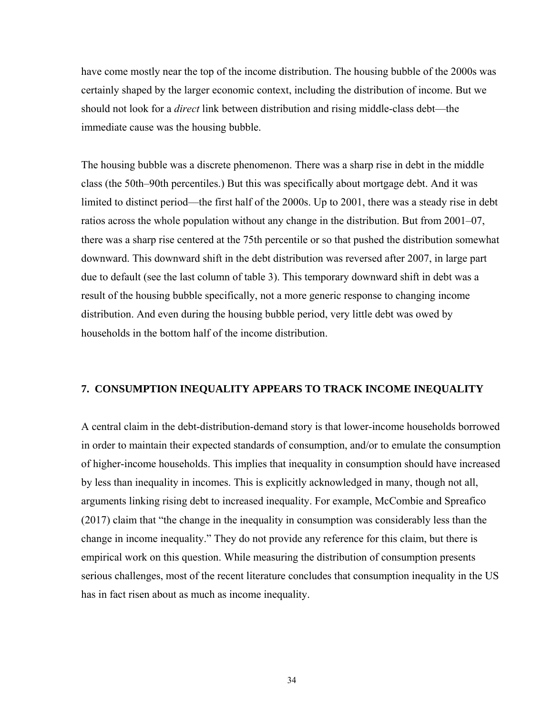have come mostly near the top of the income distribution. The housing bubble of the 2000s was certainly shaped by the larger economic context, including the distribution of income. But we should not look for a *direct* link between distribution and rising middle-class debt—the immediate cause was the housing bubble.

The housing bubble was a discrete phenomenon. There was a sharp rise in debt in the middle class (the 50th–90th percentiles.) But this was specifically about mortgage debt. And it was limited to distinct period—the first half of the 2000s. Up to 2001, there was a steady rise in debt ratios across the whole population without any change in the distribution. But from 2001–07, there was a sharp rise centered at the 75th percentile or so that pushed the distribution somewhat downward. This downward shift in the debt distribution was reversed after 2007, in large part due to default (see the last column of table 3). This temporary downward shift in debt was a result of the housing bubble specifically, not a more generic response to changing income distribution. And even during the housing bubble period, very little debt was owed by households in the bottom half of the income distribution.

### **7. CONSUMPTION INEQUALITY APPEARS TO TRACK INCOME INEQUALITY**

A central claim in the debt-distribution-demand story is that lower-income households borrowed in order to maintain their expected standards of consumption, and/or to emulate the consumption of higher-income households. This implies that inequality in consumption should have increased by less than inequality in incomes. This is explicitly acknowledged in many, though not all, arguments linking rising debt to increased inequality. For example, McCombie and Spreafico (2017) claim that "the change in the inequality in consumption was considerably less than the change in income inequality." They do not provide any reference for this claim, but there is empirical work on this question. While measuring the distribution of consumption presents serious challenges, most of the recent literature concludes that consumption inequality in the US has in fact risen about as much as income inequality.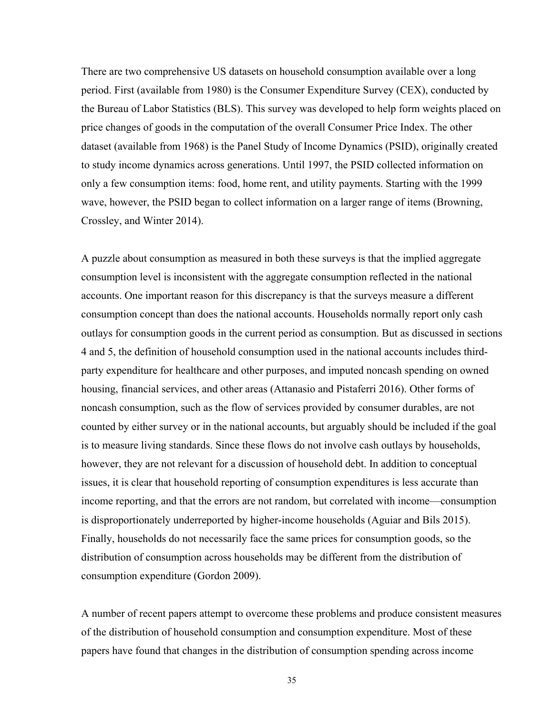There are two comprehensive US datasets on household consumption available over a long period. First (available from 1980) is the Consumer Expenditure Survey (CEX), conducted by the Bureau of Labor Statistics (BLS). This survey was developed to help form weights placed on price changes of goods in the computation of the overall Consumer Price Index. The other dataset (available from 1968) is the Panel Study of Income Dynamics (PSID), originally created to study income dynamics across generations. Until 1997, the PSID collected information on only a few consumption items: food, home rent, and utility payments. Starting with the 1999 wave, however, the PSID began to collect information on a larger range of items (Browning, Crossley, and Winter 2014).

A puzzle about consumption as measured in both these surveys is that the implied aggregate consumption level is inconsistent with the aggregate consumption reflected in the national accounts. One important reason for this discrepancy is that the surveys measure a different consumption concept than does the national accounts. Households normally report only cash outlays for consumption goods in the current period as consumption. But as discussed in sections 4 and 5, the definition of household consumption used in the national accounts includes thirdparty expenditure for healthcare and other purposes, and imputed noncash spending on owned housing, financial services, and other areas (Attanasio and Pistaferri 2016). Other forms of noncash consumption, such as the flow of services provided by consumer durables, are not counted by either survey or in the national accounts, but arguably should be included if the goal is to measure living standards. Since these flows do not involve cash outlays by households, however, they are not relevant for a discussion of household debt. In addition to conceptual issues, it is clear that household reporting of consumption expenditures is less accurate than income reporting, and that the errors are not random, but correlated with income—consumption is disproportionately underreported by higher-income households (Aguiar and Bils 2015). Finally, households do not necessarily face the same prices for consumption goods, so the distribution of consumption across households may be different from the distribution of consumption expenditure (Gordon 2009).

A number of recent papers attempt to overcome these problems and produce consistent measures of the distribution of household consumption and consumption expenditure. Most of these papers have found that changes in the distribution of consumption spending across income

35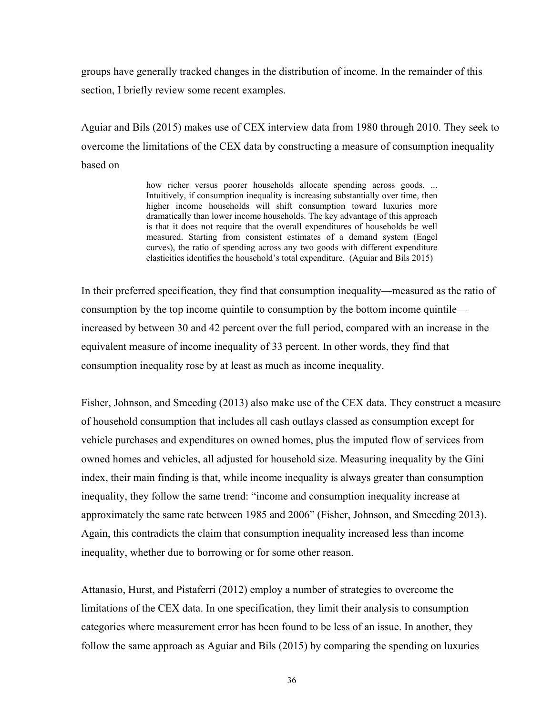groups have generally tracked changes in the distribution of income. In the remainder of this section, I briefly review some recent examples.

Aguiar and Bils (2015) makes use of CEX interview data from 1980 through 2010. They seek to overcome the limitations of the CEX data by constructing a measure of consumption inequality based on

> how richer versus poorer households allocate spending across goods. ... Intuitively, if consumption inequality is increasing substantially over time, then higher income households will shift consumption toward luxuries more dramatically than lower income households. The key advantage of this approach is that it does not require that the overall expenditures of households be well measured. Starting from consistent estimates of a demand system (Engel curves), the ratio of spending across any two goods with different expenditure elasticities identifies the household's total expenditure. (Aguiar and Bils 2015)

In their preferred specification, they find that consumption inequality—measured as the ratio of consumption by the top income quintile to consumption by the bottom income quintile increased by between 30 and 42 percent over the full period, compared with an increase in the equivalent measure of income inequality of 33 percent. In other words, they find that consumption inequality rose by at least as much as income inequality.

Fisher, Johnson, and Smeeding (2013) also make use of the CEX data. They construct a measure of household consumption that includes all cash outlays classed as consumption except for vehicle purchases and expenditures on owned homes, plus the imputed flow of services from owned homes and vehicles, all adjusted for household size. Measuring inequality by the Gini index, their main finding is that, while income inequality is always greater than consumption inequality, they follow the same trend: "income and consumption inequality increase at approximately the same rate between 1985 and 2006" (Fisher, Johnson, and Smeeding 2013). Again, this contradicts the claim that consumption inequality increased less than income inequality, whether due to borrowing or for some other reason.

Attanasio, Hurst, and Pistaferri (2012) employ a number of strategies to overcome the limitations of the CEX data. In one specification, they limit their analysis to consumption categories where measurement error has been found to be less of an issue. In another, they follow the same approach as Aguiar and Bils (2015) by comparing the spending on luxuries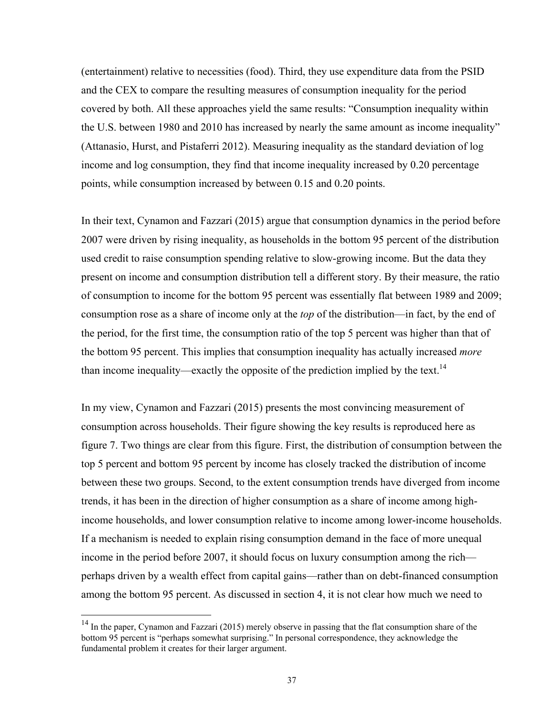(entertainment) relative to necessities (food). Third, they use expenditure data from the PSID and the CEX to compare the resulting measures of consumption inequality for the period covered by both. All these approaches yield the same results: "Consumption inequality within the U.S. between 1980 and 2010 has increased by nearly the same amount as income inequality" (Attanasio, Hurst, and Pistaferri 2012). Measuring inequality as the standard deviation of log income and log consumption, they find that income inequality increased by 0.20 percentage points, while consumption increased by between 0.15 and 0.20 points.

In their text, Cynamon and Fazzari (2015) argue that consumption dynamics in the period before 2007 were driven by rising inequality, as households in the bottom 95 percent of the distribution used credit to raise consumption spending relative to slow-growing income. But the data they present on income and consumption distribution tell a different story. By their measure, the ratio of consumption to income for the bottom 95 percent was essentially flat between 1989 and 2009; consumption rose as a share of income only at the *top* of the distribution—in fact, by the end of the period, for the first time, the consumption ratio of the top 5 percent was higher than that of the bottom 95 percent. This implies that consumption inequality has actually increased *more* than income inequality—exactly the opposite of the prediction implied by the text.<sup>14</sup>

In my view, Cynamon and Fazzari (2015) presents the most convincing measurement of consumption across households. Their figure showing the key results is reproduced here as figure 7. Two things are clear from this figure. First, the distribution of consumption between the top 5 percent and bottom 95 percent by income has closely tracked the distribution of income between these two groups. Second, to the extent consumption trends have diverged from income trends, it has been in the direction of higher consumption as a share of income among highincome households, and lower consumption relative to income among lower-income households. If a mechanism is needed to explain rising consumption demand in the face of more unequal income in the period before 2007, it should focus on luxury consumption among the rich perhaps driven by a wealth effect from capital gains—rather than on debt-financed consumption among the bottom 95 percent. As discussed in section 4, it is not clear how much we need to

 $\overline{a}$ 

<sup>&</sup>lt;sup>14</sup> In the paper, Cynamon and Fazzari (2015) merely observe in passing that the flat consumption share of the bottom 95 percent is "perhaps somewhat surprising." In personal correspondence, they acknowledge the fundamental problem it creates for their larger argument.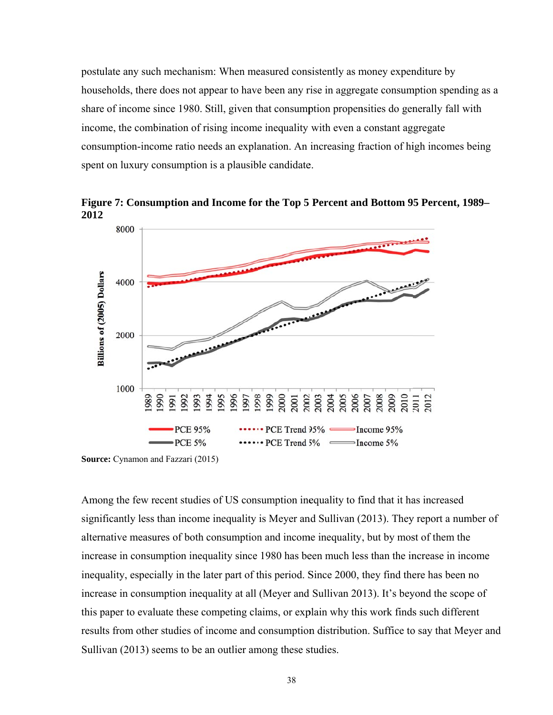postulate any such mechanism: When measured consistently as money expenditure by households, there does not appear to have been any rise in aggregate consumption spending as a share of income since 1980. Still, given that consumption propensities do generally fall with income, the combination of rising income inequality with even a constant aggregate consumption-income ratio needs an explanation. An increasing fraction of high incomes being spent on luxury consumption is a plausible candidate.

8000 **Billions of (2005) Dollars** 4000 N 2000 1000 1994 993 992 99  $\cdots$  PCE Trend 95%  $\cdots$  Income 95% **PCE 95%**  $PCE 5%$  $\cdots$  PCE Trend 5%  $\equiv$  Income 5%

Figure 7: Consumption and Income for the Top 5 Percent and Bottom 95 Percent, 1989– 2012

Among the few recent studies of US consumption inequality to find that it has increased significantly less than income inequality is Meyer and Sullivan (2013). They report a number of alternative measures of both consumption and income inequality, but by most of them the increase in consumption inequality since 1980 has been much less than the increase in income inequality, especially in the later part of this period. Since 2000, they find there has been no increase in consumption inequality at all (Meyer and Sullivan 2013). It's beyond the scope of this paper to evaluate these competing claims, or explain why this work finds such different results from other studies of income and consumption distribution. Suffice to say that Meyer and Sullivan (2013) seems to be an outlier among these studies.

**Source:** Cynamon and Fazzari (2015)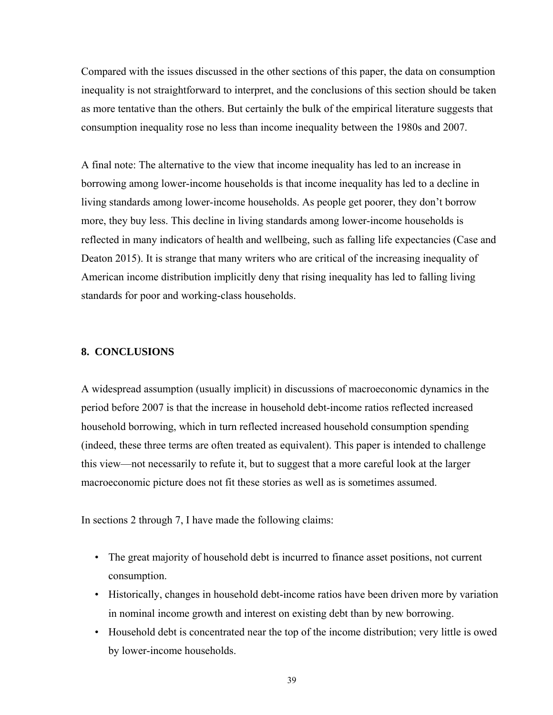Compared with the issues discussed in the other sections of this paper, the data on consumption inequality is not straightforward to interpret, and the conclusions of this section should be taken as more tentative than the others. But certainly the bulk of the empirical literature suggests that consumption inequality rose no less than income inequality between the 1980s and 2007.

A final note: The alternative to the view that income inequality has led to an increase in borrowing among lower-income households is that income inequality has led to a decline in living standards among lower-income households. As people get poorer, they don't borrow more, they buy less. This decline in living standards among lower-income households is reflected in many indicators of health and wellbeing, such as falling life expectancies (Case and Deaton 2015). It is strange that many writers who are critical of the increasing inequality of American income distribution implicitly deny that rising inequality has led to falling living standards for poor and working-class households.

### **8. CONCLUSIONS**

A widespread assumption (usually implicit) in discussions of macroeconomic dynamics in the period before 2007 is that the increase in household debt-income ratios reflected increased household borrowing, which in turn reflected increased household consumption spending (indeed, these three terms are often treated as equivalent). This paper is intended to challenge this view—not necessarily to refute it, but to suggest that a more careful look at the larger macroeconomic picture does not fit these stories as well as is sometimes assumed.

In sections 2 through 7, I have made the following claims:

- The great majority of household debt is incurred to finance asset positions, not current consumption.
- Historically, changes in household debt-income ratios have been driven more by variation in nominal income growth and interest on existing debt than by new borrowing.
- Household debt is concentrated near the top of the income distribution; very little is owed by lower-income households.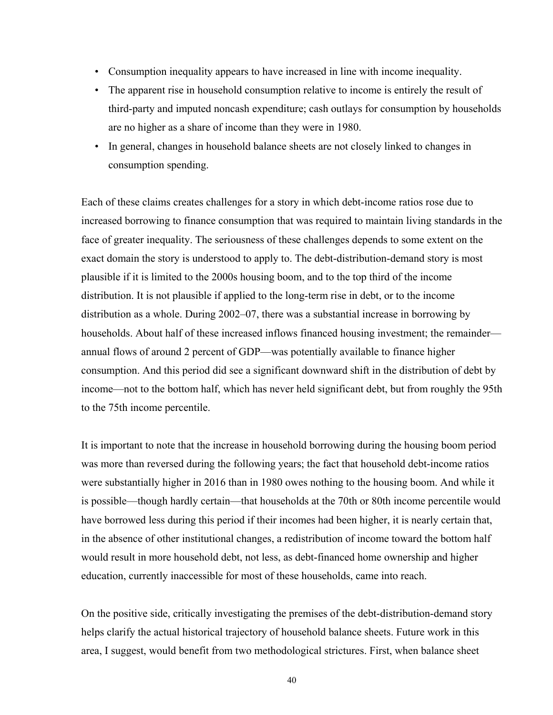- Consumption inequality appears to have increased in line with income inequality.
- The apparent rise in household consumption relative to income is entirely the result of third-party and imputed noncash expenditure; cash outlays for consumption by households are no higher as a share of income than they were in 1980.
- In general, changes in household balance sheets are not closely linked to changes in consumption spending.

Each of these claims creates challenges for a story in which debt-income ratios rose due to increased borrowing to finance consumption that was required to maintain living standards in the face of greater inequality. The seriousness of these challenges depends to some extent on the exact domain the story is understood to apply to. The debt-distribution-demand story is most plausible if it is limited to the 2000s housing boom, and to the top third of the income distribution. It is not plausible if applied to the long-term rise in debt, or to the income distribution as a whole. During 2002–07, there was a substantial increase in borrowing by households. About half of these increased inflows financed housing investment; the remainder annual flows of around 2 percent of GDP—was potentially available to finance higher consumption. And this period did see a significant downward shift in the distribution of debt by income—not to the bottom half, which has never held significant debt, but from roughly the 95th to the 75th income percentile.

It is important to note that the increase in household borrowing during the housing boom period was more than reversed during the following years; the fact that household debt-income ratios were substantially higher in 2016 than in 1980 owes nothing to the housing boom. And while it is possible—though hardly certain—that households at the 70th or 80th income percentile would have borrowed less during this period if their incomes had been higher, it is nearly certain that, in the absence of other institutional changes, a redistribution of income toward the bottom half would result in more household debt, not less, as debt-financed home ownership and higher education, currently inaccessible for most of these households, came into reach.

On the positive side, critically investigating the premises of the debt-distribution-demand story helps clarify the actual historical trajectory of household balance sheets. Future work in this area, I suggest, would benefit from two methodological strictures. First, when balance sheet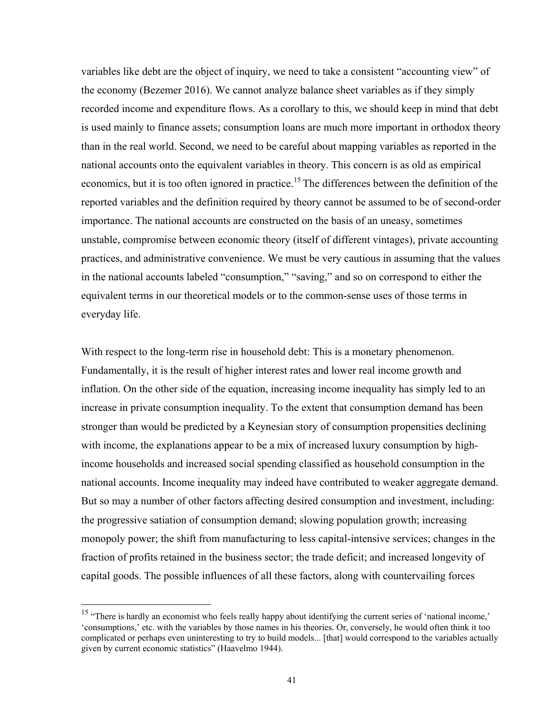variables like debt are the object of inquiry, we need to take a consistent "accounting view" of the economy (Bezemer 2016). We cannot analyze balance sheet variables as if they simply recorded income and expenditure flows. As a corollary to this, we should keep in mind that debt is used mainly to finance assets; consumption loans are much more important in orthodox theory than in the real world. Second, we need to be careful about mapping variables as reported in the national accounts onto the equivalent variables in theory. This concern is as old as empirical economics, but it is too often ignored in practice.<sup>15</sup> The differences between the definition of the reported variables and the definition required by theory cannot be assumed to be of second-order importance. The national accounts are constructed on the basis of an uneasy, sometimes unstable, compromise between economic theory (itself of different vintages), private accounting practices, and administrative convenience. We must be very cautious in assuming that the values in the national accounts labeled "consumption," "saving," and so on correspond to either the equivalent terms in our theoretical models or to the common-sense uses of those terms in everyday life.

With respect to the long-term rise in household debt: This is a monetary phenomenon. Fundamentally, it is the result of higher interest rates and lower real income growth and inflation. On the other side of the equation, increasing income inequality has simply led to an increase in private consumption inequality. To the extent that consumption demand has been stronger than would be predicted by a Keynesian story of consumption propensities declining with income, the explanations appear to be a mix of increased luxury consumption by highincome households and increased social spending classified as household consumption in the national accounts. Income inequality may indeed have contributed to weaker aggregate demand. But so may a number of other factors affecting desired consumption and investment, including: the progressive satiation of consumption demand; slowing population growth; increasing monopoly power; the shift from manufacturing to less capital-intensive services; changes in the fraction of profits retained in the business sector; the trade deficit; and increased longevity of capital goods. The possible influences of all these factors, along with countervailing forces

1

<sup>&</sup>lt;sup>15</sup> "There is hardly an economist who feels really happy about identifying the current series of 'national income,' 'consumptions,' etc. with the variables by those names in his theories. Or, conversely, he would often think it too complicated or perhaps even uninteresting to try to build models... [that] would correspond to the variables actually given by current economic statistics" (Haavelmo 1944).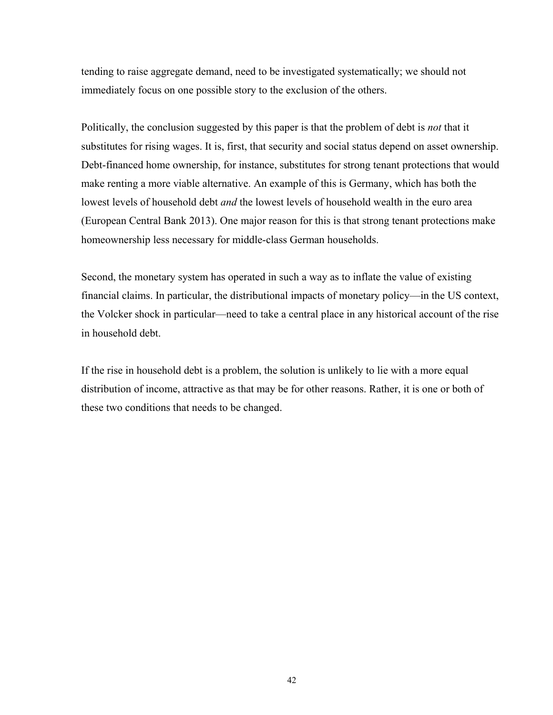tending to raise aggregate demand, need to be investigated systematically; we should not immediately focus on one possible story to the exclusion of the others.

Politically, the conclusion suggested by this paper is that the problem of debt is *not* that it substitutes for rising wages. It is, first, that security and social status depend on asset ownership. Debt-financed home ownership, for instance, substitutes for strong tenant protections that would make renting a more viable alternative. An example of this is Germany, which has both the lowest levels of household debt *and* the lowest levels of household wealth in the euro area (European Central Bank 2013). One major reason for this is that strong tenant protections make homeownership less necessary for middle-class German households.

Second, the monetary system has operated in such a way as to inflate the value of existing financial claims. In particular, the distributional impacts of monetary policy—in the US context, the Volcker shock in particular—need to take a central place in any historical account of the rise in household debt.

If the rise in household debt is a problem, the solution is unlikely to lie with a more equal distribution of income, attractive as that may be for other reasons. Rather, it is one or both of these two conditions that needs to be changed.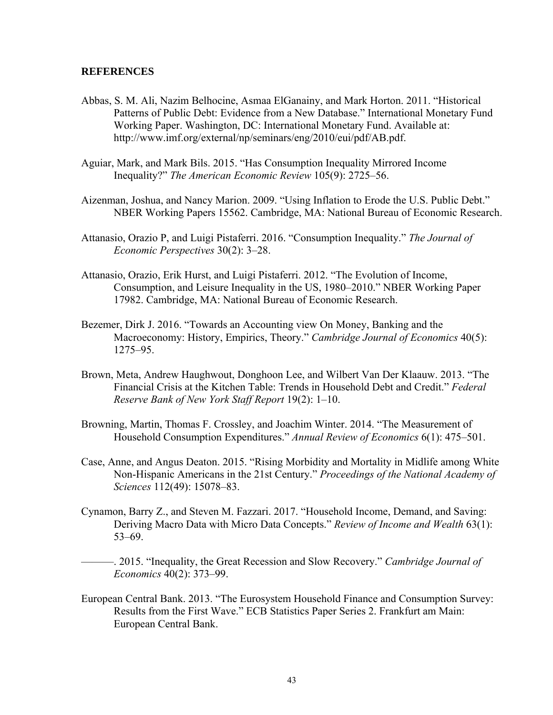#### **REFERENCES**

- Abbas, S. M. Ali, Nazim Belhocine, Asmaa ElGanainy, and Mark Horton. 2011. "Historical Patterns of Public Debt: Evidence from a New Database." International Monetary Fund Working Paper. Washington, DC: International Monetary Fund. Available at: http://www.imf.org/external/np/seminars/eng/2010/eui/pdf/AB.pdf.
- Aguiar, Mark, and Mark Bils. 2015. "Has Consumption Inequality Mirrored Income Inequality?" *The American Economic Review* 105(9): 2725–56.
- Aizenman, Joshua, and Nancy Marion. 2009. "Using Inflation to Erode the U.S. Public Debt." NBER Working Papers 15562. Cambridge, MA: National Bureau of Economic Research.
- Attanasio, Orazio P, and Luigi Pistaferri. 2016. "Consumption Inequality." *The Journal of Economic Perspectives* 30(2): 3–28.
- Attanasio, Orazio, Erik Hurst, and Luigi Pistaferri. 2012. "The Evolution of Income, Consumption, and Leisure Inequality in the US, 1980–2010." NBER Working Paper 17982. Cambridge, MA: National Bureau of Economic Research.
- Bezemer, Dirk J. 2016. "Towards an Accounting view On Money, Banking and the Macroeconomy: History, Empirics, Theory." *Cambridge Journal of Economics* 40(5): 1275–95.
- Brown, Meta, Andrew Haughwout, Donghoon Lee, and Wilbert Van Der Klaauw. 2013. "The Financial Crisis at the Kitchen Table: Trends in Household Debt and Credit." *Federal Reserve Bank of New York Staff Report* 19(2): 1–10.
- Browning, Martin, Thomas F. Crossley, and Joachim Winter. 2014. "The Measurement of Household Consumption Expenditures." *Annual Review of Economics* 6(1): 475–501.
- Case, Anne, and Angus Deaton. 2015. "Rising Morbidity and Mortality in Midlife among White Non-Hispanic Americans in the 21st Century." *Proceedings of the National Academy of Sciences* 112(49): 15078–83.
- Cynamon, Barry Z., and Steven M. Fazzari. 2017. "Household Income, Demand, and Saving: Deriving Macro Data with Micro Data Concepts." *Review of Income and Wealth* 63(1): 53–69.
	- ———. 2015. "Inequality, the Great Recession and Slow Recovery." *Cambridge Journal of Economics* 40(2): 373–99.
- European Central Bank. 2013. "The Eurosystem Household Finance and Consumption Survey: Results from the First Wave." ECB Statistics Paper Series 2. Frankfurt am Main: European Central Bank.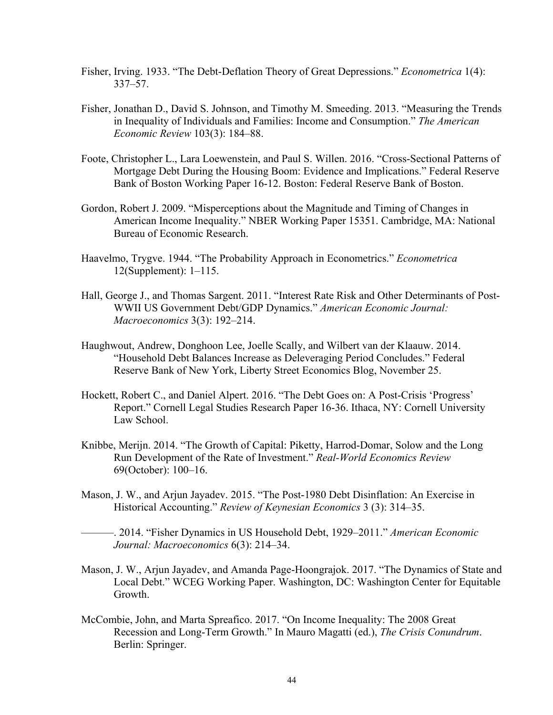- Fisher, Irving. 1933. "The Debt-Deflation Theory of Great Depressions." *Econometrica* 1(4): 337–57.
- Fisher, Jonathan D., David S. Johnson, and Timothy M. Smeeding. 2013. "Measuring the Trends in Inequality of Individuals and Families: Income and Consumption." *The American Economic Review* 103(3): 184–88.
- Foote, Christopher L., Lara Loewenstein, and Paul S. Willen. 2016. "Cross-Sectional Patterns of Mortgage Debt During the Housing Boom: Evidence and Implications." Federal Reserve Bank of Boston Working Paper 16-12. Boston: Federal Reserve Bank of Boston.
- Gordon, Robert J. 2009. "Misperceptions about the Magnitude and Timing of Changes in American Income Inequality." NBER Working Paper 15351. Cambridge, MA: National Bureau of Economic Research.
- Haavelmo, Trygve. 1944. "The Probability Approach in Econometrics." *Econometrica* 12(Supplement): 1–115.
- Hall, George J., and Thomas Sargent. 2011. "Interest Rate Risk and Other Determinants of Post-WWII US Government Debt/GDP Dynamics." *American Economic Journal: Macroeconomics* 3(3): 192–214.
- Haughwout, Andrew, Donghoon Lee, Joelle Scally, and Wilbert van der Klaauw. 2014. "Household Debt Balances Increase as Deleveraging Period Concludes." Federal Reserve Bank of New York, Liberty Street Economics Blog, November 25.
- Hockett, Robert C., and Daniel Alpert. 2016. "The Debt Goes on: A Post-Crisis 'Progress' Report." Cornell Legal Studies Research Paper 16-36. Ithaca, NY: Cornell University Law School.
- Knibbe, Merijn. 2014. "The Growth of Capital: Piketty, Harrod-Domar, Solow and the Long Run Development of the Rate of Investment." *Real-World Economics Review*  69(October): 100–16.
- Mason, J. W., and Arjun Jayadev. 2015. "The Post-1980 Debt Disinflation: An Exercise in Historical Accounting." *Review of Keynesian Economics* 3 (3): 314–35.
- ———. 2014. "Fisher Dynamics in US Household Debt, 1929–2011." *American Economic Journal: Macroeconomics* 6(3): 214–34.
- Mason, J. W., Arjun Jayadev, and Amanda Page-Hoongrajok. 2017. "The Dynamics of State and Local Debt." WCEG Working Paper. Washington, DC: Washington Center for Equitable Growth.
- McCombie, John, and Marta Spreafico. 2017. "On Income Inequality: The 2008 Great Recession and Long-Term Growth." In Mauro Magatti (ed.), *The Crisis Conundrum*. Berlin: Springer.